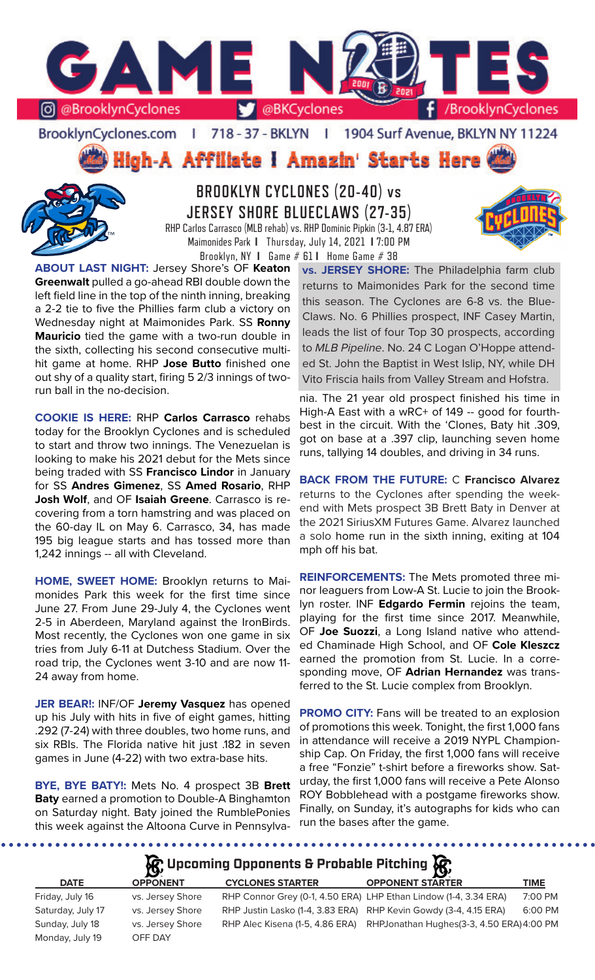

BrooklynCyclones.com | 718 - 37 - BKLYN - F 1904 Surf Avenue, BKLYN NY 11224

High-A Affiliate I Amazin' Starts Here



**BROOKLYN CYCLONES (20-40) vs JERSEY SHORE BLUECLAWS (27-35)** RHP Carlos Carrasco (MLB rehab) vs. RHP Dominic Pipkin (3-1, 4.87 ERA) Maimonides Park **I** Thursday, July 14, 2021 **I** 7:00 PM

Brooklyn, NY **I** Game # 61 **I** Home Game # 38

**ABOUT LAST NIGHT:** Jersey Shore's OF **Keaton Greenwalt** pulled a go-ahead RBI double down the left field line in the top of the ninth inning, breaking a 2-2 tie to five the Phillies farm club a victory on Wednesday night at Maimonides Park. SS **Ronny Mauricio** tied the game with a two-run double in the sixth, collecting his second consecutive multihit game at home. RHP **Jose Butto** finished one out shy of a quality start, firing 5 2/3 innings of tworun ball in the no-decision.

**COOKIE IS HERE:** RHP **Carlos Carrasco** rehabs today for the Brooklyn Cyclones and is scheduled to start and throw two innings. The Venezuelan is looking to make his 2021 debut for the Mets since being traded with SS **Francisco Lindor** in January for SS **Andres Gimenez**, SS **Amed Rosario**, RHP **Josh Wolf**, and OF **Isaiah Greene**. Carrasco is recovering from a torn hamstring and was placed on the 60-day IL on May 6. Carrasco, 34, has made 195 big league starts and has tossed more than 1,242 innings -- all with Cleveland.

**HOME, SWEET HOME:** Brooklyn returns to Maimonides Park this week for the first time since June 27. From June 29-July 4, the Cyclones went 2-5 in Aberdeen, Maryland against the IronBirds. Most recently, the Cyclones won one game in six tries from July 6-11 at Dutchess Stadium. Over the road trip, the Cyclones went 3-10 and are now 11- 24 away from home.

**JER BEAR!:** INF/OF **Jeremy Vasquez** has opened up his July with hits in five of eight games, hitting .292 (7-24) with three doubles, two home runs, and six RBIs. The Florida native hit just .182 in seven games in June (4-22) with two extra-base hits.

**BYE, BYE BATY!:** Mets No. 4 prospect 3B **Brett Baty** earned a promotion to Double-A Binghamton on Saturday night. Baty joined the RumblePonies this week against the Altoona Curve in Pennsylva**vs. JERSEY SHORE:** The Philadelphia farm club returns to Maimonides Park for the second time this season. The Cyclones are 6-8 vs. the Blue-Claws. No. 6 Phillies prospect, INF Casey Martin, leads the list of four Top 30 prospects, according to *MLB Pipeline*. No. 24 C Logan O'Hoppe attended St. John the Baptist in West Islip, NY, while DH Vito Friscia hails from Valley Stream and Hofstra.

nia. The 21 year old prospect finished his time in High-A East with a wRC+ of 149 -- good for fourthbest in the circuit. With the 'Clones, Baty hit .309, got on base at a .397 clip, launching seven home runs, tallying 14 doubles, and driving in 34 runs.

**BACK FROM THE FUTURE:** C **Francisco Alvarez**  returns to the Cyclones after spending the weekend with Mets prospect 3B Brett Baty in Denver at the 2021 SiriusXM Futures Game. Alvarez launched a solo home run in the sixth inning, exiting at 104 mph off his bat.

**REINFORCEMENTS:** The Mets promoted three minor leaguers from Low-A St. Lucie to join the Brooklyn roster. INF **Edgardo Fermin** rejoins the team, playing for the first time since 2017. Meanwhile, OF **Joe Suozzi**, a Long Island native who attended Chaminade High School, and OF **Cole Kleszcz**  earned the promotion from St. Lucie. In a corresponding move, OF **Adrian Hernandez** was transferred to the St. Lucie complex from Brooklyn.

**PROMO CITY:** Fans will be treated to an explosion of promotions this week. Tonight, the first 1,000 fans in attendance will receive a 2019 NYPL Championship Cap. On Friday, the first 1,000 fans will receive a free "Fonzie" t-shirt before a fireworks show. Saturday, the first 1,000 fans will receive a Pete Alonso ROY Bobblehead with a postgame fireworks show. Finally, on Sunday, it's autographs for kids who can run the bases after the game.

**R**: Upcoming Opponents & Probable Pitching **R**:

| <b>DATE</b>       | $\sim$<br><b>OPPONENT</b> | <b>CYCLONES STARTER</b>         | $\overline{\phantom{a}}$<br><b>OPPONENT STARTER</b>              | TIME    |
|-------------------|---------------------------|---------------------------------|------------------------------------------------------------------|---------|
| Friday, July 16   | vs. Jersey Shore          |                                 | RHP Connor Grey (0-1, 4.50 ERA) LHP Ethan Lindow (1-4, 3.34 ERA) | 7:00 PM |
| Saturday, July 17 | vs. Jersey Shore          |                                 | RHP Justin Lasko (1-4, 3.83 ERA) RHP Kevin Gowdy (3-4, 4.15 ERA) | 6:00 PM |
| Sunday, July 18   | vs. Jersey Shore          | RHP Alec Kisena (1-5, 4.86 ERA) | RHPJonathan Hughes (3-3, 4.50 ERA) 4:00 PM                       |         |
| Monday, July 19   | OFF DAY                   |                                 |                                                                  |         |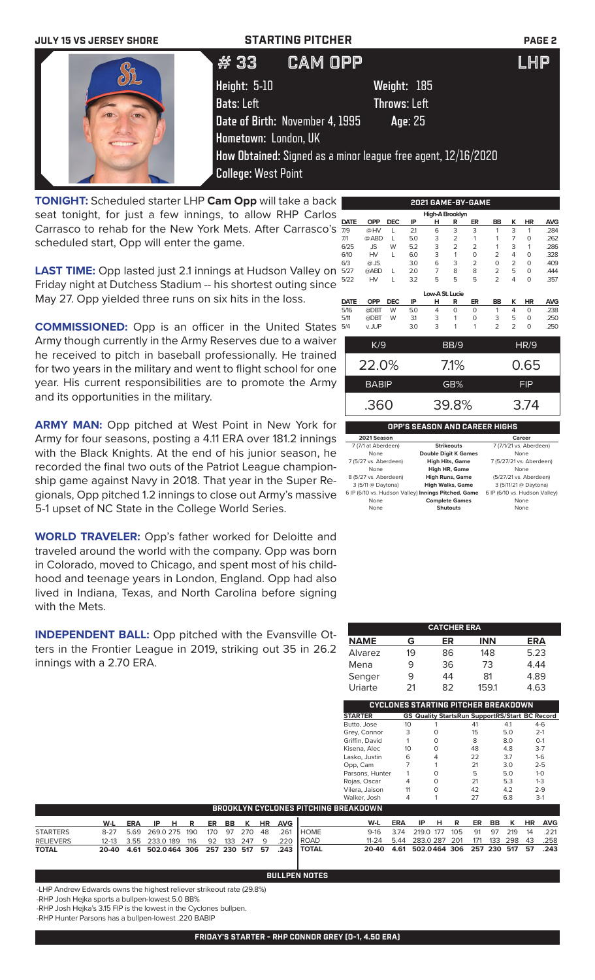| <b>JULY 15 VS JERSEY SHORE</b> | <b>STARTING PITCHER</b>         |                                                               | <b>PAGE 2</b> |
|--------------------------------|---------------------------------|---------------------------------------------------------------|---------------|
|                                | <b>CAM OPP</b><br>#33           |                                                               | <b>LHP</b>    |
|                                | <b>Height: 5-10</b>             | Weight: 185                                                   |               |
|                                | <b>Bats: Left</b>               | <b>Throws: Left</b>                                           |               |
|                                | Date of Birth: November 4, 1995 | Age: 25                                                       |               |
|                                | Hometown: London, UK            |                                                               |               |
|                                |                                 | How Obtained: Signed as a minor league free agent, 12/16/2020 |               |
|                                | <b>College: West Point</b>      |                                                               |               |

**TONIGHT:** Scheduled starter LHP **Cam Opp** will take a back seat tonight, for just a few innings, to allow RHP Carlos Carrasco to rehab for the New York Mets. After Carrasco's scheduled start, Opp will enter the game.

**LAST TIME:** Opp lasted just 2.1 innings at Hudson Valley on Friday night at Dutchess Stadium -- his shortest outing since May 27. Opp yielded three runs on six hits in the loss.

**COMMISSIONED:** Opp is an officer in the United States Army though currently in the Army Reserves due to a waiver he received to pitch in baseball professionally. He trained for two years in the military and went to flight school for one year. His current responsibilities are to promote the Army and its opportunities in the military.

**ARMY MAN:** Opp pitched at West Point in New York for Army for four seasons, posting a 4.11 ERA over 181.2 innings with the Black Knights. At the end of his junior season, he recorded the final two outs of the Patriot League championship game against Navy in 2018. That year in the Super Regionals, Opp pitched 1.2 innings to close out Army's massive 5-1 upset of NC State in the College World Series.

**WORLD TRAVELER:** Opp's father worked for Deloitte and traveled around the world with the company. Opp was born in Colorado, moved to Chicago, and spent most of his childhood and teenage years in London, England. Opp had also lived in Indiana, Texas, and North Carolina before signing with the Mets.

**INDEPENDENT BALL:** Opp pitched with the Evansville Otters in the Frontier League in 2019, striking out 35 in 26.2 innings with a 2.70 ERA.

|   |             |            |            |     |                 |                | 2021 GAME-BY-GAME |                |                |           |            |
|---|-------------|------------|------------|-----|-----------------|----------------|-------------------|----------------|----------------|-----------|------------|
|   |             |            |            |     | High-A Brooklyn |                |                   |                |                |           |            |
|   | <b>DATE</b> | <b>OPP</b> | <b>DEC</b> | IP  | н               | R              | ER                | <b>BB</b>      | κ              | <b>HR</b> | <b>AVG</b> |
|   | 7/9         | @HV        |            | 21  | 6               | 3              | 3                 | 1              | 3              |           | .284       |
|   | 7/1         | @ ABD      |            | 5.0 | 3               | $\overline{2}$ | 1                 | 1              | 7              | O         | .262       |
|   | 6/25        | <b>JS</b>  | W          | 5.2 | 3               | $\overline{2}$ | $\overline{2}$    | 1              | 3              |           | .286       |
|   | 6/10        | <b>HV</b>  | L          | 6.0 | 3               | 1              | $\Omega$          | $\overline{2}$ | 4              | O         | .328       |
|   | 6/3         | $@$ JS     |            | 3.0 | 6               | 3              | $\overline{2}$    | $\Omega$       | $\overline{2}$ | O         | .409       |
|   | 5/27        | @ABD       |            | 2.0 | 7               | 8              | 8                 | $\overline{2}$ | 5              | O         | .444       |
|   | 5/22        | HV         |            | 3.2 | 5               | 5              | 5                 | 2              | 4              | O         | .357       |
|   |             |            |            |     |                 |                |                   |                |                |           |            |
|   |             |            |            |     | Low-A St. Lucie |                |                   |                |                |           |            |
|   | <b>DATE</b> | <b>OPP</b> | <b>DEC</b> | IP  | н               | R              | ER                | BB             | K              | <b>HR</b> | <b>AVG</b> |
|   | 5/16        | @DBT       | W          | 5.0 | 4               | $\Omega$       | $\Omega$          | 1              | 4              | $\Omega$  | .238       |
|   | 5/11        | @DBT       | W          | 31  | 3               | 1              | $\Omega$          | 3              | 5              | O         | .250       |
|   | 5/4         | v. JUP     |            | 3.0 | 3               | 1              | 1                 | 2              | $\overline{2}$ | 0         | .250       |
|   |             |            |            |     |                 |                |                   |                |                |           |            |
| r |             |            |            |     |                 |                |                   |                |                |           |            |

| K/9          | BB/9    | HR/9       |
|--------------|---------|------------|
| 22.0%        | $7.1\%$ | 0.65       |
| <b>BABIP</b> | GB%     | <b>FIP</b> |
| .360         | 39.8%   | 3.74       |

## **OPP'S SEASON AND CAREER HIGHS**

| 2021 Season                                         |                             | Career                        |
|-----------------------------------------------------|-----------------------------|-------------------------------|
| 7 (7/1 at Aberdeen)                                 | <b>Strikeouts</b>           | 7 (7/1/21 vs. Aberdeen)       |
| None                                                | <b>Double Digit K Games</b> | None                          |
| 7 (5/27 vs. Aberdeen)                               | <b>High Hits, Game</b>      | 7 (5/27/21 vs. Aberdeen)      |
| None                                                | <b>High HR, Game</b>        | None                          |
| 8 (5/27 vs. Aberdeen)                               | <b>High Runs, Game</b>      | (5/27/21 vs. Aberdeen)        |
| 3 (5/11 @ Daytona)                                  | <b>High Walks, Game</b>     | 3 (5/11/21 @ Daytona)         |
| 6 IP (6/10 vs. Hudson Valley) Innings Pitched, Game |                             | 6 IP (6/10 vs. Hudson Valley) |
| None                                                | <b>Complete Games</b>       | None                          |
| None                                                | <b>Shutouts</b>             | None                          |

|             |    | <b>CATCHER ERA</b> |            |            |
|-------------|----|--------------------|------------|------------|
| <b>NAME</b> | G  | ER                 | <b>INN</b> | <b>ERA</b> |
| Alvarez     | 19 | 86                 | 148        | 5.23       |
| Mena        | 9  | 36                 | 73         | 4.44       |
| Senger      | 9  | 44                 | 81         | 4.89       |
| Uriarte     | 21 | 82                 | 159.1      | 4.63       |

**CYCLONES STARTING PITCHER BREAKDOWN**

|                  |           |            |              |     |     |     |     |           |            |              | <b>STARTER</b>                              |            | <b>GS Quality StartsRun SupportRS/Start BC Record</b> |     |     |     |     |    |            |
|------------------|-----------|------------|--------------|-----|-----|-----|-----|-----------|------------|--------------|---------------------------------------------|------------|-------------------------------------------------------|-----|-----|-----|-----|----|------------|
|                  |           |            |              |     |     |     |     |           |            |              | Butto, Jose                                 | 10         |                                                       |     | 41  |     | 4.1 |    | $4-6$      |
|                  |           |            |              |     |     |     |     |           |            |              | Grey, Connor                                | 3          | $\circ$                                               |     | 15  |     | 5.0 |    | $2-1$      |
|                  |           |            |              |     |     |     |     |           |            |              | Griffin, David                              |            | $\circ$                                               |     | 8   |     | 8.0 |    | $O-1$      |
|                  |           |            |              |     |     |     |     |           |            |              | Kisena, Alec                                | 10         | $\circ$                                               |     | 48  |     | 4.8 |    | $3 - 7$    |
|                  |           |            |              |     |     |     |     |           |            |              | Lasko, Justin                               | 6          | 4                                                     |     | 22  |     | 3.7 |    | $1-6$      |
|                  |           |            |              |     |     |     |     |           |            |              | Opp, Cam                                    |            |                                                       |     | 21  |     | 3.0 |    | $2 - 5$    |
|                  |           |            |              |     |     |     |     |           |            |              | Parsons, Hunter                             |            | $\circ$                                               |     | 5   |     | 5.0 |    | $1 - 0$    |
|                  |           |            |              |     |     |     |     |           |            |              | Rojas, Oscar                                | 4          | $\circ$                                               |     | 21  |     | 5.3 |    | $1 - 3$    |
|                  |           |            |              |     |     |     |     |           |            |              | Vilera, Jaison                              | 11         | $\circ$                                               |     | 42  |     | 4.2 |    | $2 - 9$    |
|                  |           |            |              |     |     |     |     |           |            |              | Walker, Josh                                | 4          |                                                       |     | 27  |     | 6.8 |    | $3-1$      |
|                  |           |            |              |     |     |     |     |           |            |              | <b>BROOKLYN CYCLONES PITCHING BREAKDOWN</b> |            |                                                       |     |     |     |     |    |            |
|                  | W-L       | <b>ERA</b> | н<br>IP.     | R   | ER  | BB  | к   | <b>HR</b> | <b>AVG</b> |              | W-L                                         | <b>ERA</b> | IP<br>н                                               | R   | ER  | BB  | к   | HR | <b>AVG</b> |
| <b>STARTERS</b>  | $8 - 27$  | 5.69       | 269.0 275    | 190 | 170 | 97  | 270 | 48        | .261       | <b>HOME</b>  | $9-16$                                      | 3.74       | 219.0 177                                             | 105 | 91  | 97  | 219 | 14 | .221       |
| <b>RELIEVERS</b> | $12 - 13$ | 3.55       | 233.0 189    | 116 | 92  | 133 | 247 | 9         | .220       | <b>ROAD</b>  | $11 - 24$                                   | 5.44       | 283.0 287                                             | 201 | 171 | 133 | 298 | 43 | .258       |
| <b>TOTAL</b>     | 20-40     | 4.61       | 502.0464 306 |     | 257 | 230 | 517 | 57        | .243       | <b>TOTAL</b> | 20-40                                       | 4.61       | 502.0464                                              | 306 | 257 | 230 | 517 | 57 | .243       |

-LHP Andrew Edwards owns the highest reliever strikeout rate (29.8%)

-RHP Josh Hejka sports a bullpen-lowest 5.0 BB%

-RHP Josh Hejka's 3.15 FIP is the lowest in the Cyclones bullpen.

-RHP Hunter Parsons has a bullpen-lowest .220 BABIP

**BULLPEN NOTES**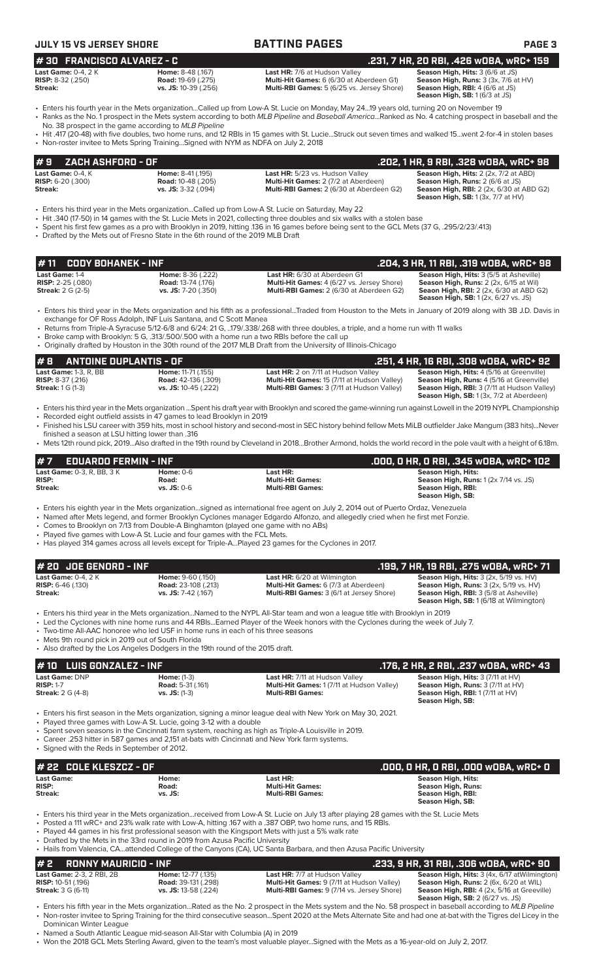| <b>JULY 15 VS JERSEY SHORE</b>                         |                                                       | <b>BATTING PAGES</b>                                                                    | <b>PAGE 3</b>                                                                          |
|--------------------------------------------------------|-------------------------------------------------------|-----------------------------------------------------------------------------------------|----------------------------------------------------------------------------------------|
| $#30$ FRANCISCO ALVAREZ - C                            |                                                       |                                                                                         | .231, 7 HR, 20 RBI, .426 w0BA, wRC+ 159                                                |
| <b>Last Game:</b> 0-4, 2 K<br><b>RISP:</b> 8-32 (.250) | <b>Home: 8-48 (.167)</b><br><b>Road: 19-69 (.275)</b> | <b>Last HR:</b> 7/6 at Hudson Valley<br><b>Multi-Hit Games:</b> 6 (6/30 at Aberdeen G1) | <b>Season High, Hits: 3 (6/6 at JS)</b><br><b>Season High, Runs: 3 (3x, 7/6 at HV)</b> |

**RISP:** 8-32 (.250) **Road:** 19-69 (.275) **Multi-Hit Games:** 6 (6/30 at Aberdeen G1) **Season High, Runs:** 3 (3x, 7/6 at HV) **Multi-RBI Games:** 5 (6/25 vs. Jersey Shore) **Season High, RBI:** 4 (6/6 at JS)<br>**Season High, RBI:** 4 (6/6 at JS) **# 30 FRANCISCO ALVAREZ - C .231, 7 HR, 20 RBI, .426 wOBA, wRC+ 159**

- Enters his fourth year in the Mets organization...Called up from Low-A St. Lucie on Monday, May 24...19 years old, turning 20 on November 19 • Ranks as the No. 1 prospect in the Mets system according to both *MLB Pipeline* and *Baseball America*...Ranked as No. 4 catching prospect in baseball and the
- No. 38 prospect in the game according to *MLB Pipeline*
- Hit .417 (20-48) with five doubles, two home runs, and 12 RBIs in 15 games with St. Lucie...Struck out seven times and walked 15...went 2-for-4 in stolen bases • Non-roster invitee to Mets Spring Training...Signed with NYM as NDFA on July 2, 2018

| #9    ZACH ASHFORD - OF    |                           |                                                 | .202. 1 HR. 9 RBI. .328 WOBA. WRC+ 98                                                        |
|----------------------------|---------------------------|-------------------------------------------------|----------------------------------------------------------------------------------------------|
| Last Game: $0-4.$ K        | <b>Home: 8-41 (.195)</b>  | Last HR: 5/23 vs. Hudson Valley                 | <b>Season High, Hits: 2 (2x, 7/2 at ABD)</b>                                                 |
| <b>RISP:</b> $6-20$ (.300) | <b>Road: 10-48 (.205)</b> | <b>Multi-Hit Games: 2 (7/2 at Aberdeen)</b>     | <b>Season High, Runs: 2 (6/6 at JS)</b>                                                      |
| Streak:                    | vs. JS: 3-32 (.094)       | <b>Multi-RBI Games:</b> 2 (6/30 at Aberdeen G2) | <b>Season High, RBI:</b> 2 (2x, 6/30 at ABD G2)<br><b>Season High, SB:</b> 1 (3x, 7/7 at HV) |

- Enters his third year in the Mets organization...Called up from Low-A St. Lucie on Saturday, May 22
- Hit .340 (17-50) in 14 games with the St. Lucie Mets in 2021, collecting three doubles and six walks with a stolen base
- Spent his first few games as a pro with Brooklyn in 2019, hitting .136 in 16 games before being sent to the GCL Mets (37 G, .295/2/23/.413)
- Drafted by the Mets out of Fresno State in the 6th round of the 2019 MLB Draft

| 1# 11    CODY BOHANEK - INF . |                           |                                                   | .204, 3 HR, 11 RBI, .319 wOBA, wRC+ 98         |
|-------------------------------|---------------------------|---------------------------------------------------|------------------------------------------------|
| <b>Last Game: 1-4</b>         | <b>Home: 8-36 (.222)</b>  | Last HR: 6/30 at Aberdeen G1                      | <b>Season High, Hits: 3 (5/5 at Asheville)</b> |
| <b>RISP:</b> 2-25 (.080)      | <b>Road:</b> 13-74 (.176) | <b>Multi-Hit Games:</b> 4 (6/27 vs. Jersey Shore) | <b>Season High, Runs:</b> 2 (2x, 6/15 at Wil)  |
| <b>Streak:</b> 2 G (2-5)      | $vs.$ JS: 7-20 (.350)     | <b>Multi-RBI Games:</b> 2 (6/30 at Aberdeen G2)   | <b>Seaon High, RBI:</b> 2 (2x, 6/30 at ABD G2) |
|                               |                           |                                                   | <b>Season High. SB:</b> 1(2x, 6/27 vs. JS)     |

• Enters his third year in the Mets organization and his fifth as a professional...Traded from Houston to the Mets in January of 2019 along with 3B J.D. Davis in exchange for OF Ross Adolph, INF Luis Santana, and C Scott Manea

• Returns from Triple-A Syracuse 5/12-6/8 and 6/24: 21 G, ..179/.338/.268 with three doubles, a triple, and a home run with 11 walks

- Broke camp with Brooklyn: 5 G, .313/.500/.500 with a home run a two RBIs before the call up
- Originally drafted by Houston in the 30th round of the 2017 MLB Draft from the University of Illinois-Chicago

### **# 8 ANTOINE DUPLANTIS - OF .251, 4 HR, 16 RBI, .308 wOBA, wRC+ 92 Last Game:** 1-3, R, BB **Home:** 11-71 (.155) **Last HR:** 2 on 7/11 at Hudson Valley **Season High, Hits:** 4 (5/16 at Greenville) **RISP:** 8-37 (.216) **Road:** 42-136 (.309) **Multi-Hit Games:** 15 (7/11 at Hudson Valley) **Season High, Runs:** 4 (5/16 at Greenville) **Streak:** 1 G (1-3) **vs. JS:** 10-45 (.222) **Multi-RBI Games:** 3 (7/11 at Hudson Valley) **Season High, RBI:** 3 (7/11 at Hudson Valley) **Season High, SB:** 1 (3x, 7/2 at Aberdeen)

- Enters his third year in the Mets organization ...Spent his draft year with Brooklyn and scored the game-winning run against Lowell in the 2019 NYPL Championship • Recorded eight outfield assists in 47 games to lead Brooklyn in 2019
- Finished his LSU career with 359 hits, most in school history and second-most in SEC history behind fellow Mets MiLB outfielder Jake Mangum (383 hits)...Never
- finished a season at LSU hitting lower than .316 • Mets 12th round pick, 2019...Also drafted in the 19th round by Cleveland in 2018...Brother Armond, holds the world record in the pole vault with a height of 6.18m.

| #7<br><b>EDUARDO FERMIN - INF</b> |               |                         | .000, 0 HR, 0 RBI, .345 w0BA, wRC+ 102       |
|-----------------------------------|---------------|-------------------------|----------------------------------------------|
| <b>Last Game:</b> 0-3. R. BB. 3 K | Home: $0-6$   | Last HR:                | Season High, Hits:                           |
| <b>RISP:</b>                      | Road:         | <b>Multi-Hit Games:</b> | <b>Season High, Runs: 1 (2x 7/14 vs. JS)</b> |
| Streak:                           | $vs.$ JS: 0-6 | <b>Multi-RBI Games:</b> | Season High, RBI:                            |
|                                   |               |                         | Season High, SB:                             |

• Enters his eighth year in the Mets organization...signed as international free agent on July 2, 2014 out of Puerto Ordaz, Venezuela

- Named after Mets legend, and former Brooklyn Cyclones manager Edgardo Alfonzo, and allegedly cried when he first met Fonzie.
- Comes to Brooklyn on 7/13 from Double-A Binghamton (played one game with no ABs)
- Played five games with Low-A St. Lucie and four games with the FCL Mets.
- Has played 314 games across all levels except for Triple-A...Played 23 games for the Cyclones in 2017.

| l# 20  JOE GENORD - INF                                               |                                                 |                                                                                   | .199. 7 HR. 19 RBI. .275 WOBA. wRC+ 71                                                                    |
|-----------------------------------------------------------------------|-------------------------------------------------|-----------------------------------------------------------------------------------|-----------------------------------------------------------------------------------------------------------|
| <b>Last Game: <math>0-4</math>. 2 K</b><br><b>RISP:</b> $6-46$ (.130) | Home: 9-60 (.150)<br><b>Road:</b> 23-108 (.213) | <b>Last HR:</b> 6/20 at Wilmington<br><b>Multi-Hit Games:</b> 6 (7/3 at Aberdeen) | <b>Season High, Hits:</b> $3$ ( $2x$ , $5/19$ vs. $HV$ )<br><b>Season High, Runs: 3 (2x, 5/19 vs. HV)</b> |
| Streak:                                                               | vs. JS: 7-42 (.167)                             | <b>Multi-RBI Games: 3 (6/1 at Jersey Shore)</b>                                   | <b>Season High, RBI:</b> 3 (5/8 at Asheville)<br><b>Season High, SB:</b> 1 (6/18 at Wilmington)           |

• Enters his third year in the Mets organization...Named to the NYPL All-Star team and won a league title with Brooklyn in 2019

- Led the Cyclones with nine home runs and 44 RBIs...Earned Player of the Week honors with the Cyclones during the week of July 7.
- Two-time All-AAC honoree who led USF in home runs in each of his three seasons

Mets 9th round pick in 2019 out of South Florida

• Also drafted by the Los Angeles Dodgers in the 19th round of the 2015 draft.

|                                                                       | $# 10$ LUIS GONZALEZ - INF              |                                                                                                                                                   | . 176, 2 HR, 2 RBI, .237 wOBA, wRC+ 43,                                                                                                             |
|-----------------------------------------------------------------------|-----------------------------------------|---------------------------------------------------------------------------------------------------------------------------------------------------|-----------------------------------------------------------------------------------------------------------------------------------------------------|
| <b>Last Game: DNP</b><br><b>RISP: 1-7</b><br><b>Streak:</b> 2 G (4-8) | <b>Home:</b> (1-3)<br>$vs.$ JS: $(1-3)$ | <b>Last HR: 7/11 at Hudson Valley</b><br><b>Multi-Hit Games: 1 (7/11 at Hudson Valley)</b><br><b>Road:</b> 5-31 (.161)<br><b>Multi-RBI Games:</b> | <b>Season High, Hits: 3 (7/11 at HV)</b><br><b>Season High, Runs: 3 (7/11 at HV)</b><br><b>Season High, RBI: 1 (7/11 at HV)</b><br>Season High, SB: |

• Enters his first season in the Mets organization, signing a minor league deal with New York on May 30, 2021.

- Played three games with Low-A St. Lucie, going 3-12 with a double
- Spent seven seasons in the Cincinnati farm system, reaching as high as Triple-A Louisville in 2019.
- Career .253 hitter in 587 games and 2,151 at-bats with Cincinnati and New York farm systems.

• Signed with the Reds in September of 2012.

| 1# 22   COLE KLESZCZ - OF                    |                           |                                                                                                                                                                                                                                                                                                                                                              | .000. 0 HR. 0 RBI. .000 w0BA. wRC+ 0                                                            |
|----------------------------------------------|---------------------------|--------------------------------------------------------------------------------------------------------------------------------------------------------------------------------------------------------------------------------------------------------------------------------------------------------------------------------------------------------------|-------------------------------------------------------------------------------------------------|
| <b>Last Game:</b><br><b>RISP:</b><br>Streak: | Home:<br>Road:<br>vs. JS: | Last HR:<br><b>Multi-Hit Games:</b><br><b>Multi-RBI Games:</b>                                                                                                                                                                                                                                                                                               | <b>Season High, Hits:</b><br><b>Season High, Runs:</b><br>Season High, RBI:<br>Season High, SB: |
|                                              |                           | • Enters his third year in the Mets organizationreceived from Low-A St. Lucie on July 13 after playing 28 games with the St. Lucie Mets<br>. Posted a 111 wRC+ and 23% walk rate with Low-A, hitting 167 with a .387 OBP, two home runs, and 15 RBIs.<br>• Played 44 games in his first professional season with the Kingsport Mets with just a 5% walk rate |                                                                                                 |

• Drafted by the Mets in the 33rd round in 2019 from Azusa Pacific University

• Hails from Valencia, CA...attended College of the Canyons (CA), UC Santa Barbara, and then Azusa Pacific University

### **# 2 RONNY MAURICIO - INF .233, 9 HR, 31 RBI, .306 wOBA, wRC+ 90 Last HR:** 7/7 at Hudson Valley **Season High, Hits:** 3 (4x, 6/17 at Wilmington) **Road:** 39-131 (.298) **Reason High, Hits:** 3 (4x, 6/20 at WIL) **RISP:**  $10-51$  (.196) **Road:**  $39-131$  (.298) **Multi-Hit Games:** 9 (7/11 at Hudson Valley) **Road:**  $39-131$  (.298) **Multi-Hit Games:** 9 (7/11 at Hudson Valley) **Streak:** 3 G (6-11) **vs. JS:** 13-58 (.224) **Multi-RBI Games: Multi-RBI Games:** 9 (7/14 vs. Jersey Shore) **Season High, RBI:** 4 (2x, 5/16 at Greeville)<br>**Season High, RBI:** 4 (2x, 5/16 at Greeville)

• Enters his fifth year in the Mets organization...Rated as the No. 2 prospect in the Mets system and the No. 58 prospect in baseball according to *MLB Pipeline* • Non-roster invitee to Spring Training for the third consecutive season...Spent 2020 at the Mets Alternate Site and had one at-bat with the Tigres del Licey in the Dominican Winter League

• Named a South Atlantic League mid-season All-Star with Columbia (A) in 2019

• Won the 2018 GCL Mets Sterling Award, given to the team's most valuable player...Signed with the Mets as a 16-year-old on July 2, 2017.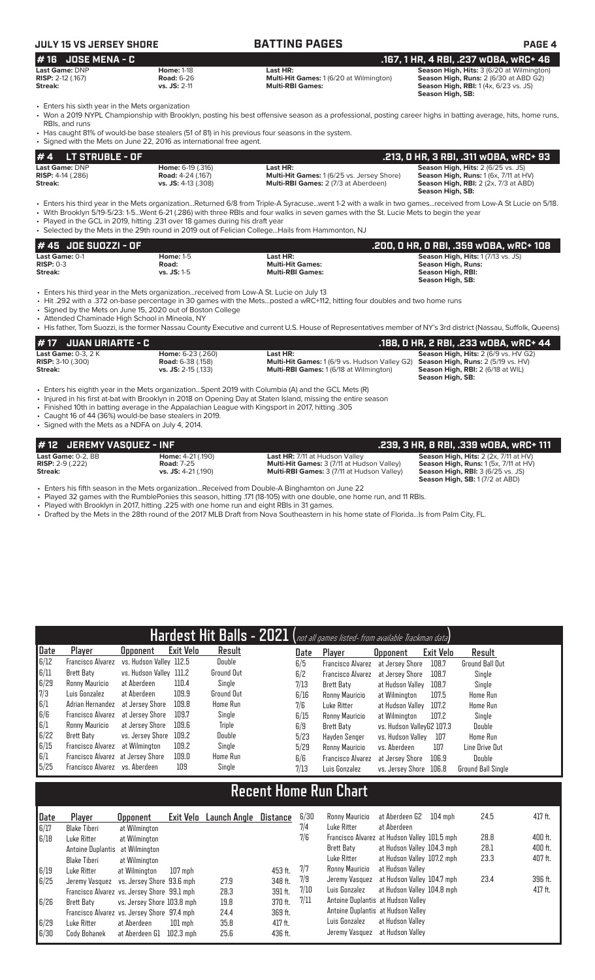# **JULY 15 VS JERSEY SHORE BATTING PAGES PAGE 4**

| # 16 JOSE MENA - C         |                   |                                                | .167, 1 HR, 4 RBI, .237 wOBA, wRC+ 46            |
|----------------------------|-------------------|------------------------------------------------|--------------------------------------------------|
| <b>Last Game: DNP</b>      | <b>Home: 1-18</b> | Last HR:                                       | <b>Season High, Hits: 3 (6/20 at Wilmington)</b> |
| <b>RISP:</b> $2-12$ (.167) | <b>Road: 6-26</b> | <b>Multi-Hit Games: 1 (6/20 at Wilmington)</b> | <b>Season High, Runs: 2 (6/30 at ABD G2)</b>     |
| Streak:                    | $vs.$ JS: 2-11    | <b>Multi-RBI Games:</b>                        | <b>Season High, RBI:</b> 1(4x, 6/23 vs. JS)      |
|                            |                   |                                                | Season High, SB:                                 |

• Enters his sixth year in the Mets organization

• Won a 2019 NYPL Championship with Brooklyn, posting his best offensive season as a professional, posting career highs in batting average, hits, home runs, RBIs, and runs

• Has caught 81% of would-be base stealers (51 of 81) in his previous four seasons in the system. • Signed with the Mets on June 22, 2016 as international free agent.

| $# 4$ LT STRUBLE - OF      |                            |                                                   | , 213, 0 HR, 3 RBI, .311 wOBA, wRC+ 93.             |
|----------------------------|----------------------------|---------------------------------------------------|-----------------------------------------------------|
| Last Game: DNP             | <b>Home:</b> 6-19 (.316)   | Last HR:                                          | <b>Season High, Hits: 2 (6/25 vs. JS)</b>           |
| <b>RISP:</b> $4-14$ (.286) | <b>Road:</b> 4-24 (.167)   | <b>Multi-Hit Games: 1 (6/25 vs. Jersey Shore)</b> | <b>Season High, Runs:</b> $1(6x, 7/11$ at $HV$ )    |
| Streak:                    | <b>vs. JS:</b> 4-13 (.308) | <b>Multi-RBI Games: 2 (7/3 at Aberdeen)</b>       | <b>Season High, RBI:</b> $2$ ( $2x$ , $7/3$ at ABD) |
|                            |                            |                                                   | Season High, SB:                                    |

• Enters his third year in the Mets organization...Returned 6/8 from Triple-A Syracuse...went 1-2 with a walk in two games...received from Low-A St Lucie on 5/18.

• With Brooklyn 5/19-5/23: 1-5...Went 6-21 (.286) with three RBIs and four walks in seven games with the St. Lucie Mets to begin the year

• Played in the GCL in 2019, hitting .231 over 18 games during his draft year • Selected by the Mets in the 29th round in 2019 out of Felician College...Hails from Hammonton, NJ

| # 45 JOE SUOZZI - OF  |               |                         | .200. 0 HR. 0 RBI. .359 w0BA. wRC+ 108    |
|-----------------------|---------------|-------------------------|-------------------------------------------|
| <b>Last Game: 0-1</b> | Home: $1-5$   | Last HR:                | <b>Season High, Hits: 1 (7/13 vs. JS)</b> |
| $RISP: 0-3$           | Road:         | <b>Multi-Hit Games:</b> | Season High, Runs:                        |
| Streak:               | $vs.$ JS: 1-5 | <b>Multi-RBI Games:</b> | Season High, RBI:                         |
|                       |               |                         | Season High, SB:                          |

• Enters his third year in the Mets organization...received from Low-A St. Lucie on July 13

• Hit .292 with a .372 on-base percentage in 30 games with the Mets...posted a wRC+112, hitting four doubles and two home runs

Signed by the Mets on June 15, 2020 out of Boston College

• Attended Chaminade High School in Mineola, NY • His father, Tom Suozzi, is the former Nassau County Executive and current U.S. House of Representatives member of NY's 3rd district (Nassau, Suffolk, Queens)

### **# 17 JUAN URIARTE - C .188, 0 HR, 2 RBI, .233 wOBA, wRC+ 44 Last Game:** 0-3, 2 K **Home:** 6-23 (.260) **Last HR: Season High, Hits:** 2 (6/9 vs. HV G2) **RISP:** 3-10 (.300) **Rome: 8-23 (.158) Risp:** 2 (.158) **Risp:** 3-10 (.300) **Rome: 2** (5/19 vs. **HV**) **Streak: COME: 2 (5/19 vs. RISP:** 3-10 (.300) **Road:** 6-38 (.158) **Multi-Hit Games:** 1 (6/9 vs. Hudson Valley G2) **Season High, Runs:** 2 (5/19 vs. HV) **Streak: vs. JS:** 2-15 (.133) **Multi-RBI Games:** 1 (6/18 at Wilmington) **Season High, RBI:** 2 (6/18 at WIL) **Season High, SB:**

• Enters his eighth year in the Mets organization...Spent 2019 with Columbia (A) and the GCL Mets (R)

• Injured in his first at-bat with Brooklyn in 2018 on Opening Day at Staten Island, missing the entire season

• Finished 10th in batting average in the Appalachian League with Kingsport in 2017, hitting .305

• Caught 16 of 44 (36%) would-be base stealers in 2019.

• Signed with the Mets as a NDFA on July 4, 2014.

# **# 12 JEREMY VASQUEZ - INF .239, 3 HR, 8 RBI, .339 wOBA, wRC+ 111 Last Game:** 0-2, BB **Home:** 4-21 (.190) **Last HR:** 7/11 at Hudson Valley **Season High, Hits:** 2 (2x, 7/11 at HV) **RISP:**  $2-9$  (.222) **Road:**  $7-25$  **Multi-Hit Games:** 3 (7/11 at Hudson Valley) **Streak: Season High, RUNS: 2.9** (.222) **Road:** 7-25 **Multi-RBI Games:** 3 (7/11 at Hudson Valley) **Streak: Season High, Allien, 1 (190)**

**Streak: vs. JS:** 4-21 (.190) **Multi-RBI Games:** 3 (7/11 at Hudson Valley) **Season High, RBI:** 3 (6/25 vs. JS) **Season High, SB:** 1 (7/2 at ABD)

• Enters his fifth season in the Mets organization...Received from Double-A Binghamton on June 22

Played 32 games with the RumblePonies this season, hitting .171 (18-105) with one double, one home run, and 11 RBIs.

Played with Brooklyn in 2017, hitting .225 with one home run and eight RBIs in 31 games.

• Drafted by the Mets in the 28th round of the 2017 MLB Draft from Nova Southeastern in his home state of Florida...Is from Palm City, FL.

|                          |                                   |                         |           |                 |      | $\overline{\mathsf{Hardest}}$ $\overline{\mathsf{Hit}}$ $\mathsf{Balls}$ – $\mathsf{2021}$ $\left(\overline{\mathsf{not}}$ all games listed- from available Trackman data) |                           |           |                           |
|--------------------------|-----------------------------------|-------------------------|-----------|-----------------|------|----------------------------------------------------------------------------------------------------------------------------------------------------------------------------|---------------------------|-----------|---------------------------|
| Date                     | Player                            | Upponent                | Exit Velo | Result          | Date | Player                                                                                                                                                                     | <b>Opponent</b>           | Exit Velo | Result                    |
| 6/12                     | <b>Francisco Alvarez</b>          | vs. Hudson Valley 112.5 |           | Double          | 6/5  | <b>Francisco Alvarez</b>                                                                                                                                                   | at Jersey Shore           | 108.7     | <b>Ground Ball Out</b>    |
| $\vert \vert 6/11 \vert$ | Brett Baty                        | vs. Hudson Valley 111.2 |           | Ground Out      | 6/2  | <b>Francisco Alvarez</b>                                                                                                                                                   | at Jersev Shore           | 108.7     | Single                    |
| 6/29                     | Ronny Mauricio                    | at Aberdeen             | 110.4     | Single          | 7/13 | Brett Baty                                                                                                                                                                 | at Hudson Valley          | 108.7     | Single                    |
| 7/3                      | Luis Gonzalez                     | at Aberdeen             | 109.9     | Ground Out      | 6/16 | Ronny Mauricio                                                                                                                                                             | at Wilmington             | 107.5     | Home Run                  |
| 6/1                      | Adrian Hernandez                  | at Jersev Shore         | 109.8     | <b>Home Run</b> | 7/6  | Luke Ritter                                                                                                                                                                | at Hudson Valley          | 107.2     | Home Run                  |
| 6/6                      | Francisco Alvarez                 | at Jersev Shore         | 109.7     | Single          | 6/15 | Ronny Mauricio                                                                                                                                                             | at Wilmington             | 107.2     | Single                    |
| 6/1                      | Ronny Mauricio                    | at Jersev Shore         | 109.6     | Triple          | 6/9  | Brett Baty                                                                                                                                                                 | vs. Hudson ValleyG2 107.3 |           | Double                    |
| 6/22                     | Brett Baty                        | vs. Jersev Shore        | 109.2     | Double          | 5/23 | Hayden Senger                                                                                                                                                              | vs. Hudson Valley         | 107       | Home Run                  |
| 6/15                     | Francisco Alvarez                 | at Wilmington           | 109.2     | Single          | 5/29 | Ronny Mauricio                                                                                                                                                             | vs. Aberdeen              | 107       | Line Drive Out            |
| 6/1                      | Francisco Alvarez at Jersey Shore |                         | 109.0     | <b>Home Run</b> | 6/6  | <b>Francisco Alvarez</b>                                                                                                                                                   | at Jersev Shore           | 106.9     | Double                    |
| 5/25                     | Francisco Alvarez vs. Aberdeen    |                         | 109       | Single          | 7/13 | Luis Gonzalez                                                                                                                                                              | vs. Jersey Shore          | 106.8     | <b>Ground Ball Single</b> |

# **Recent Home Run Chart**

| Date | Player                                      | <b>Opponent</b>            | Exit Velo | Launch Angle | Distance | 6/30 | Ronny Mauricio                               | at Aberdeen G2             | $104 \text{ mph}$ | 24.5 | 417 ft. |
|------|---------------------------------------------|----------------------------|-----------|--------------|----------|------|----------------------------------------------|----------------------------|-------------------|------|---------|
| 6/17 | <b>Blake Tiberi</b>                         | at Wilmington              |           |              |          | 7/4  | Luke Ritter                                  | at Aberdeen                |                   |      |         |
| 6/18 | Luke Ritter                                 | at Wilmington              |           |              |          | 7/6  | Francisco Alvarez at Hudson Valley 101.5 mph |                            |                   | 28.8 | 400 ft. |
|      | Antoine Duplantis at Wilmington             |                            |           |              |          |      | <b>Brett Baty</b>                            | at Hudson Valley 104.3 mph |                   | 28.1 | 400 ft. |
|      | Blake Tiberi                                | at Wilmington              |           |              |          |      | Luke Ritter                                  | at Hudson Valley 107.2 mph |                   | 23.3 | 407 ft. |
| 6/19 | Luke Ritter                                 | at Wilmington              | $107$ mph |              | 453 ft.  | 7/7  | Ronny Mauricio                               | at Hudson Vallev           |                   |      |         |
| 6/25 | Jeremy Vasquez                              | vs. Jersey Shore 93.6 mph  |           | 27.9         | 348 ft.  | 7/9  | Jeremy Vasquez at Hudson Valley 104.7 mph    |                            |                   | 23.4 | 396 ft. |
|      | Francisco Alvarez vs. Jersey Shore 99.1 mph |                            |           | 28.3         | 391 ft.  | 7/10 | Luis Gonzalez                                | at Hudson Valley 104.8 mph |                   |      | 417 ft. |
| 6/26 | Brett Baty                                  | vs. Jersev Shore 103.8 mph |           | 19.8         | 370 ft.  | 7/11 | Antoine Duplantis at Hudson Valley           |                            |                   |      |         |
|      | Francisco Alvarez vs. Jersey Shore 97.4 mph |                            |           | 24.4         | 369 ft.  |      | Antoine Duplantis at Hudson Valley           |                            |                   |      |         |
| 6/29 | Luke Ritter                                 | at Aberdeen                | $101$ mph | 35.8         | 417 ft.  |      | Luis Gonzalez                                | at Hudson Vallev           |                   |      |         |
| 6/30 | Cody Bohanek                                | at Aberdeen G1             | 102.3 mph | 25.6         | 436 ft.  |      | Jeremy Vasquez at Hudson Valley              |                            |                   |      |         |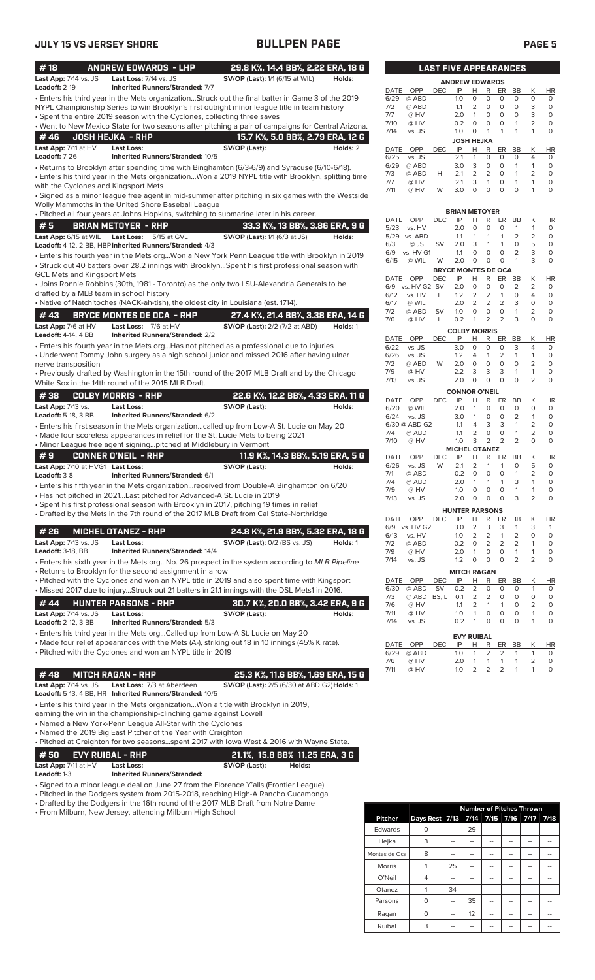| #18                                                 | <b>ANDREW EDWARDS - LHP</b>                                                        | 29.8 K%, 14.4 BB%, 2.22 ERA, 18 G                                                                                                                                                      |          |              |                         |                | <b>LAST FIVE APPEARANCES</b> |                                |                             |                           |                              |                                                |
|-----------------------------------------------------|------------------------------------------------------------------------------------|----------------------------------------------------------------------------------------------------------------------------------------------------------------------------------------|----------|--------------|-------------------------|----------------|------------------------------|--------------------------------|-----------------------------|---------------------------|------------------------------|------------------------------------------------|
| Last App: 7/14 vs. JS<br>Leadoff: 2-19              | Last Loss: 7/14 vs. JS<br><b>Inherited Runners/Stranded: 7/7</b>                   | <b>SV/OP (Last):</b> 1/1 (6/15 at WIL)                                                                                                                                                 | Holds:   |              |                         |                | <b>ANDREW EDWARDS</b>        |                                |                             |                           |                              |                                                |
|                                                     |                                                                                    | · Enters his third year in the Mets organizationStruck out the final batter in Game 3 of the 2019                                                                                      |          | DATE<br>6/29 | OPP<br>@ ABD            | <b>DEC</b>     | IP<br>1.0                    | H<br>$\circ$                   | R<br>0                      | ER<br>$\circ$             | BB<br>$\circ$                | К<br>H<br>$\circ$<br>O                         |
|                                                     |                                                                                    | NYPL Championship Series to win Brooklyn's first outright minor league title in team history                                                                                           |          | 7/2          | @ ABD                   |                | 1.1                          | 2                              | $\circ$                     | $\circ$                   | $\circ$                      | 3<br>0                                         |
|                                                     | • Spent the entire 2019 season with the Cyclones, collecting three saves           |                                                                                                                                                                                        |          | 7/7<br>7/10  | @ HV<br>@ HV            |                | 2.0<br>0.2                   | $\overline{1}$<br>$\circ$      | 0<br>$\circ$                | 0<br>$\circ$              | $\circ$<br>1                 | 3<br>0<br>$\overline{2}$<br>0                  |
|                                                     |                                                                                    | . Went to New Mexico State for two seasons after pitching a pair of campaigns for Central Arizona.                                                                                     |          | 7/14         | vs. JS                  |                | 1.0                          | $\circ$                        | $\mathbf{1}$                | $\mathbf{1}$              | $\mathbf{1}$                 | 1<br>O                                         |
| #46                                                 | <b>JOSH HEJKA - RHP</b>                                                            | 15.7 K%, 5.0 BB%, 2.79 ERA, 12 G                                                                                                                                                       |          |              |                         |                | <b>JOSH HEJKA</b>            |                                |                             |                           |                              |                                                |
| Last App: 7/11 at HV<br>Leadoff: 7-26               | <b>Last Loss:</b><br>Inherited Runners/Stranded: 10/5                              | SV/OP (Last):                                                                                                                                                                          | Holds: 2 | DATE<br>6/25 | OPP<br>vs. JS           | <b>DEC</b>     | IP<br>2.1                    | н<br>$\mathbf{1}$              | R<br>0                      | ER<br>$\circ$             | BB<br>$\circ$                | К<br>HI<br>$\overline{4}$<br>0                 |
|                                                     |                                                                                    | • Returns to Brooklyn after spending time with Binghamton (6/3-6/9) and Syracuse (6/10-6/18).                                                                                          |          | 6/29         | @ ABD                   |                | 3.0                          | 3                              | $\circ$                     | 0                         | 1                            | 1<br>O                                         |
|                                                     |                                                                                    | . Enters his third year in the Mets organizationWon a 2019 NYPL title with Brooklyn, splitting time                                                                                    |          | 7/3<br>7/7   | @ ABD<br>@ HV           | Н              | 2.1<br>2.1                   | 2<br>3                         | 2<br>$\mathbf{1}$           | 0<br>$\circ$              | $\mathbf{1}$<br>$\mathbf{1}$ | 2<br>0<br>1<br>0                               |
|                                                     | with the Cyclones and Kingsport Mets                                               |                                                                                                                                                                                        |          | 7/11         | @ HV                    | W              | 3.0                          | $\circ$                        | $\mathbf 0$                 | $\circ$                   | $\circ$                      | 1<br>0                                         |
|                                                     | Wolly Mammoths in the United Shore Baseball League                                 | · Signed as a minor league free agent in mid-summer after pitching in six games with the Westside                                                                                      |          |              |                         |                |                              |                                |                             |                           |                              |                                                |
|                                                     |                                                                                    | · Pitched all four years at Johns Hopkins, switching to submarine later in his career.                                                                                                 |          |              |                         |                | <b>BRIAN METOYER</b>         |                                |                             |                           |                              |                                                |
| #5                                                  | <b>BRIAN METOYER - RHP</b>                                                         | 33.3 K%, 13 BB%, 3.86 ERA, 9 G                                                                                                                                                         |          | DATE<br>5/23 | OPP<br>vs. HV           | <b>DEC</b>     | IP<br>2.0                    | Н<br>$\circ$                   | R<br>0                      | ER<br>$\circ$             | BB<br>$\mathbf{1}$           | Κ<br>H<br>$\mathbf{1}$<br>C                    |
|                                                     | Last App: 6/15 at WIL Last Loss: 5/15 at GVL                                       | <b>SV/OP (Last):</b> 1/1 (6/3 at JS)                                                                                                                                                   | Holds:   |              | 5/29 vs. ABD            |                | 1.1                          | $\mathbf{1}$                   | $\mathbf{1}$                | $\mathbf{1}$              | 2                            | 2<br>C                                         |
|                                                     | Leadoff: 4-12, 2 BB, HBP Inherited Runners/Stranded: 4/3                           |                                                                                                                                                                                        |          | 6/3<br>6/9   | $@$ JS                  | SV             | 2.0<br>1.1                   | 3<br>$\circ$                   | $\mathbf{1}$<br>$\mathbf 0$ | $\mathbf{1}$<br>$\circ$   | 0<br>2                       | 5<br>C<br>3<br>C                               |
|                                                     |                                                                                    | · Enters his fourth year in the Mets orgWon a New York Penn League title with Brooklyn in 2019                                                                                         |          | 6/15         | vs. HV G1<br>@ WIL      | W              | 2.0                          | $\circ$                        | $\circ$                     | $\circ$                   | 1                            | 3<br>C                                         |
| <b>GCL Mets and Kingsport Mets</b>                  |                                                                                    | • Struck out 40 batters over 28.2 innings with BrooklynSpent his first professional season with                                                                                        |          |              |                         |                | <b>BRYCE MONTES DE OCA</b>   |                                |                             |                           |                              |                                                |
|                                                     |                                                                                    | • Joins Ronnie Robbins (30th, 1981 - Toronto) as the only two LSU-Alexandria Generals to be                                                                                            |          | DATE<br>6/9  | OPP<br>vs. HV G2 SV     | <b>DEC</b>     | IP<br>2.0                    | н<br>$\circ$                   | R<br>0                      | ER<br>$\circ$             | BB<br>$\overline{2}$         | Κ<br>HI<br>$\overline{2}$<br>O                 |
|                                                     | drafted by a MLB team in school history                                            |                                                                                                                                                                                        |          | 6/12         | vs. HV                  | L              | 1.2                          | 2                              | 2                           | $\mathbf{1}$              | $\circ$                      | 4<br>O                                         |
|                                                     | • Native of Natchitoches (NACK-ah-tish), the oldest city in Louisiana (est. 1714). |                                                                                                                                                                                        |          | 6/17         | @ WIL                   |                | 2.0                          | 2                              | $\overline{2}$              | $\overline{2}$            | 3                            | $\mathsf{O}\xspace$<br>O                       |
| #43                                                 | <b>BRYCE MONTES DE OCA - RHP</b>                                                   | 27.4 K%, 21.4 BB%, 3.38 ERA, 14 G                                                                                                                                                      |          | 7/2<br>7/6   | @ ABD<br>@ HV           | <b>SV</b><br>L | 1.0<br>0.2                   | 0<br>$\mathbf{1}$              | 0<br>$\overline{2}$         | $\circ$<br>2              | 1<br>3                       | $\overline{2}$<br>0<br>$\circ$<br>O            |
| Last App: 7/6 at HV                                 | Last Loss: 7/6 at HV                                                               | <b>SV/OP (Last):</b> 2/2 (7/2 at ABD)                                                                                                                                                  | Holds: 1 |              |                         |                | <b>COLBY MORRIS</b>          |                                |                             |                           |                              |                                                |
| Leadoff: 4-14, 4 BB                                 | <b>Inherited Runners/Stranded: 2/2</b>                                             |                                                                                                                                                                                        |          | DATE         | OPP                     | <b>DEC</b>     | IP                           | н                              | R                           | ER                        | BB                           | Κ<br>HI                                        |
|                                                     |                                                                                    | • Enters his fourth year in the Mets orgHas not pitched as a professional due to injuries<br>• Underwent Tommy John surgery as a high school junior and missed 2016 after having ulnar |          | 6/22<br>6/26 | vs. JS<br>vs. JS        |                | 3.0<br>1.2                   | $\circ$<br>4                   | $\mathbf 0$<br>1            | $\circ$<br>$\overline{2}$ | 3<br>$\mathbf{1}$            | $\overline{4}$<br>$\circ$<br>$\mathbf{1}$<br>0 |
| nerve transposition                                 |                                                                                    |                                                                                                                                                                                        |          | 7/2          | @ ABD                   | W              | 2.0                          | $\circ$                        | $\mathbf 0$                 | $\mathsf O$               | $\circ$                      | $\overline{2}$<br>0                            |
|                                                     |                                                                                    | • Previously drafted by Washington in the 15th round of the 2017 MLB Draft and by the Chicago                                                                                          |          | 7/9          | @ HV                    |                | 2.2                          | 3                              | 3                           | 3                         | $\mathbf{1}$                 | $\mathbf{1}$<br>0                              |
|                                                     | White Sox in the 14th round of the 2015 MLB Draft.                                 |                                                                                                                                                                                        |          | 7/13         | vs. JS                  |                | 2.0                          | $\mathbf 0$                    | $\mathbf 0$                 | $\Omega$                  | $\circ$                      | $\overline{2}$<br>O                            |
| #38                                                 | <b>COLBY MORRIS - RHP</b>                                                          | 22.6 K%, 12.2 BB%, 4.33 ERA, 11 G                                                                                                                                                      |          | DATE         | OPP                     | <b>DEC</b>     | <b>CONNOR O'NEIL</b><br>IP   | н                              | R                           | ER                        | BB                           | Κ<br>H                                         |
| <b>Last App: 7/13 vs.</b>                           | Last Loss:                                                                         | SV/OP (Last):                                                                                                                                                                          | Holds:   | 6/20         | @ WIL                   |                | 2.0                          | $\mathbf{1}$                   | O                           | $\circ$                   | $\circ$                      | $\circ$<br>C                                   |
| <b>Leadoff: 5-18, 3 BB</b>                          | Inherited Runners/Stranded: 6/2                                                    |                                                                                                                                                                                        |          | 6/24         | vs. JS<br>6/30 @ ABD G2 |                | 3.0<br>1.1                   | $\mathbf{1}$<br>4              | 0<br>3                      | 0<br>3                    | 2<br>$\mathbf{1}$            | $\mathbf{1}$<br>C<br>$\overline{2}$<br>C       |
|                                                     | • Made four scoreless appearances in relief for the St. Lucie Mets to being 2021   | • Enters his first season in the Mets organizationcalled up from Low-A St. Lucie on May 20                                                                                             |          | 7/4          | @ ABD                   |                | 1.1                          | $\overline{2}$                 | $\circ$                     | $\circ$                   | $\mathbf{1}$                 | 2<br>C                                         |
|                                                     | • Minor League free agent signingpitched at Middlebury in Vermont                  |                                                                                                                                                                                        |          | 7/10         | @ HV                    |                | 1.0                          | 3                              | 2                           | $\overline{2}$            | $\overline{2}$               | $\Omega$<br>Ċ                                  |
| #9                                                  | <b>CONNER O'NEIL - RHP</b>                                                         | 11.9 K%, 14.3 BB%, 5.19 ERA, 5 G                                                                                                                                                       |          | DATE         | OPP                     | <b>DEC</b>     | <b>MICHEL OTANEZ</b><br>IP   | Н                              | R                           | ER                        | BB                           | Κ<br>H                                         |
| Last App: 7/10 at HVG1 Last Loss:                   |                                                                                    | SV/OP (Last):                                                                                                                                                                          | Holds:   | 6/26         | vs. JS                  | W              | 2.1                          | 2                              | $\mathbf{1}$                | $\mathbf{1}$              | $\mathbf 0$                  | 5<br>C                                         |
| Leadoff: 3-8                                        | Inherited Runners/Stranded: 6/1                                                    |                                                                                                                                                                                        |          | 7/1<br>7/4   | @ ABD<br>@ ABD          |                | 0.2<br>2.0                   | $\circ$<br>$\overline{1}$      | $\circ$<br>$\mathbf{1}$     | $\circ$<br>$\mathbf{1}$   | $\mathbf{1}$<br>3            | $\overline{2}$<br>C<br>C<br>$\mathbf{1}$       |
|                                                     |                                                                                    | · Enters his fifth year in the Mets organizationreceived from Double-A Binghamton on 6/20                                                                                              |          | 7/9          | @ HV                    |                | 1.0                          | $\circ$                        | $\circ$                     | $\circ$                   | $\mathbf{1}$                 | $\mathbf{1}$<br>C                              |
|                                                     | • Has not pitched in 2021 Last pitched for Advanced-A St. Lucie in 2019            | · Spent his first professional season with Brooklyn in 2017, pitching 19 times in relief                                                                                               |          | 7/13         | vs. JS                  |                | 2.0                          | 0                              | $\Omega$                    | 0                         | 3                            | $\mathcal{P}$                                  |
|                                                     |                                                                                    | • Drafted by the Mets in the 7th round of the 2017 MLB Draft from Cal State-Northridge                                                                                                 |          |              |                         |                | <b>HUNTER PARSONS</b>        |                                |                             |                           |                              |                                                |
|                                                     |                                                                                    |                                                                                                                                                                                        |          | 6/9          | DATE OPP<br>vs. HV G2   | <b>DEC</b>     | IP<br>3.0                    | <u>H</u><br>2                  | $\mathsf{R}$<br>3           | ER<br>3                   | BB<br>1                      | Κ<br>H <sub>l</sub><br>3<br>$\mathbf{1}$       |
| #26                                                 | <b>MICHEL OTANEZ - RHP</b>                                                         | 24.8 K%, 21.9 BB%, 5.32 ERA, 18 G                                                                                                                                                      |          | 6/13         | vs. HV                  |                | 1.0                          | 2                              | $\overline{2}$              | 1                         | 2                            | $\mathbf 0$<br>0                               |
| Last App: 7/13 vs. JS<br>Leadoff: 3-18, BB          | Last Loss:<br><b>Inherited Runners/Stranded: 14/4</b>                              | <b>SV/OP (Last): 0/2 (BS vs. JS)</b>                                                                                                                                                   | Holds: 1 | 7/2<br>7/9   | @ ABD<br>@ HV           |                | 0.2<br>2.0                   | 0<br>1                         | 2<br>0                      | $\overline{2}$<br>0       | 2<br>1                       | 1<br>0<br>1<br>O                               |
|                                                     |                                                                                    | • Enters his sixth year in the Mets orgNo. 26 prospect in the system according to MLB Pipeline                                                                                         |          | 7/14         | vs. JS                  |                | 1.2                          | 0                              | 0                           | $\circ$                   | $\overline{2}$               | $\overline{2}$<br>O                            |
|                                                     | • Returns to Brooklyn for the second assignment in a row                           |                                                                                                                                                                                        |          |              |                         |                | <b>MITCH RAGAN</b>           |                                |                             |                           |                              |                                                |
|                                                     |                                                                                    | • Pitched with the Cyclones and won an NYPL title in 2019 and also spent time with Kingsport                                                                                           |          | DATE         | OPP                     | DEC            | IP                           | Н                              | R                           | ER                        | BB                           | Κ<br>H                                         |
|                                                     |                                                                                    | • Missed 2017 due to injuryStruck out 21 batters in 21.1 innings with the DSL Mets1 in 2016.                                                                                           |          | 6/30<br>7/3  | @ ABD<br>@ ABD          | SV<br>BS, L    | 0.2<br>0.1                   | $\overline{2}$<br>2            | 0<br>$\overline{2}$         | 0<br>0                    | 0<br>0                       | $\mathbf{1}$<br>C<br>0<br>С                    |
| #44                                                 | <b>HUNTER PARSONS - RHP</b>                                                        | 30.7 K%, 20.0 BB%, 3.42 ERA, 9 G                                                                                                                                                       |          | 7/6          | @ HV                    |                | 1.1                          | 2                              | $\mathbf{1}$                | $\mathbf{1}$              | 0                            | 2<br>C                                         |
| Last App: 7/14 vs. JS<br><b>Leadoff: 2-12, 3 BB</b> | Last Loss:<br>Inherited Runners/Stranded: 5/3                                      | SV/OP (Last):                                                                                                                                                                          | Holds:   | 7/11<br>7/14 | @ HV<br>vs. JS          |                | 1.0<br>0.2                   | $\mathbf{1}$<br>$\mathbf{1}$   | $\mathbf 0$<br>$\circ$      | $\circ$<br>0              | $\circ$<br>$\circ$           | $\mathbf{1}$<br>C<br>C<br>$\mathbf{1}$         |
|                                                     |                                                                                    | • Enters his third year in the Mets orgCalled up from Low-A St. Lucie on May 20                                                                                                        |          |              |                         |                |                              |                                |                             |                           |                              |                                                |
|                                                     |                                                                                    | • Made four relief appearances with the Mets (A-), striking out 18 in 10 innings (45% K rate).                                                                                         |          | DATE         | OPP                     | <b>DEC</b>     | <b>EVY RUIBAL</b><br>IP      | н                              | R                           | ER                        | BB                           | К<br>H                                         |
|                                                     | • Pitched with the Cyclones and won an NYPL title in 2019                          |                                                                                                                                                                                        |          | 6/29         | @ ABD                   |                | 1.0                          | 1                              | $\overline{2}$              | $\overline{2}$            | 1                            | $\mathbf{1}$<br>0                              |
|                                                     |                                                                                    |                                                                                                                                                                                        |          | 7/6<br>7/11  | @ HV<br>@ HV            |                | 2.0<br>1.0                   | $\mathbf{1}$<br>$\overline{2}$ | $\mathbf{1}$<br>2           | $\mathbf{1}$<br>2         | $\mathbf{1}$<br>$\mathbf{1}$ | $\overline{2}$<br>0<br>$\mathbf{1}$<br>O       |
| #48                                                 | <b>MITCH RAGAN - RHP</b>                                                           | 25.3 K%, 11.6 BB%, 1.69 ERA, 15 G                                                                                                                                                      |          |              |                         |                |                              |                                |                             |                           |                              |                                                |
| Last App: 7/14 vs. JS                               | Last Loss: 7/3 at Aberdeen                                                         | SV/OP (Last): 2/5 (6/30 at ABD G2) Holds: 1                                                                                                                                            |          |              |                         |                |                              |                                |                             |                           |                              |                                                |
|                                                     | Leadoff: 5-13, 4 BB, HR Inherited Runners/Stranded: 10/5                           |                                                                                                                                                                                        |          |              |                         |                |                              |                                |                             |                           |                              |                                                |
|                                                     | earning the win in the championship-clinching game against Lowell                  | • Enters his third year in the Mets organizationWon a title with Brooklyn in 2019,                                                                                                     |          |              |                         |                |                              |                                |                             |                           |                              |                                                |
|                                                     | • Named a New York-Penn League All-Star with the Cyclones                          |                                                                                                                                                                                        |          |              |                         |                |                              |                                |                             |                           |                              |                                                |
|                                                     | • Named the 2019 Big East Pitcher of the Year with Creighton                       |                                                                                                                                                                                        |          |              |                         |                |                              |                                |                             |                           |                              |                                                |
|                                                     |                                                                                    | • Pitched at Creighton for two seasonsspent 2017 with lowa West & 2016 with Wayne State.                                                                                               |          |              |                         |                |                              |                                |                             |                           |                              |                                                |
| #50                                                 | <b>EVY RUIBAL - RHP</b>                                                            | 21.1%, 15.8 BB% 11.25 ERA, 3 G                                                                                                                                                         |          |              |                         |                |                              |                                |                             |                           |                              |                                                |
| Last App: 7/11 at HV                                | Last Loss:                                                                         | SV/OP (Last):<br>Holds:                                                                                                                                                                |          |              |                         |                |                              |                                |                             |                           |                              |                                                |

**Leadoff:** 1-3 **Inherited Runners/Stranded:**

• Signed to a minor league deal on June 27 from the Florence Y'alls (Frontier League)

• Pitched in the Dodgers system from 2015-2018, reaching High-A Rancho Cucamonga

• Drafted by the Dodgers in the 16th round of the 2017 MLB Draft from Notre Dame

|  |  | • From Milburn, New Jersey, attending Milburn High School |  |
|--|--|-----------------------------------------------------------|--|

|                |                |    | <b>Number of Pitches Thrown</b> |             |      |      |
|----------------|----------------|----|---------------------------------|-------------|------|------|
| <b>Pitcher</b> | Days Rest 7/13 |    | 7/14                            | $7/15$ 7/16 | 7/17 | 7/18 |
| Edwards        | O              |    | 29                              |             |      |      |
| Hejka          | 3              |    |                                 |             |      |      |
| Montes de Oca  | 8              | -- | --                              |             | --   |      |
| <b>Morris</b>  |                | 25 |                                 |             |      |      |
| O'Neil         | 4              |    |                                 |             |      |      |
| Otanez         |                | 34 |                                 |             |      |      |
| Parsons        | $\Omega$       |    | 35                              |             |      |      |
| Ragan          | $\Omega$       |    | 12                              |             |      |      |
| Ruibal         | 3              |    |                                 |             |      |      |

|                       |        | <b>LAST FIVE APPEARANCES</b> |                   |                |          |          |           |                |           |  |  |
|-----------------------|--------|------------------------------|-------------------|----------------|----------|----------|-----------|----------------|-----------|--|--|
| <b>ANDREW EDWARDS</b> |        |                              |                   |                |          |          |           |                |           |  |  |
| DATE                  | OPP    | DEC                          | IP                | н              | R        | ER       | <b>BB</b> | Κ              | HR        |  |  |
| 6/29                  | @ ABD  |                              | 1.0               | $\Omega$       | 0        | O        | O         | $\Omega$       | $\Omega$  |  |  |
| 7/2                   | @ ABD  |                              | 1.1               | $\overline{2}$ | 0        | O        | O         | 3              | $\Omega$  |  |  |
| 7/7                   | @ HV   |                              | 2.0               | 1              | 0        | O        | O         | 3              | 0         |  |  |
| 7/10                  | @ HV   |                              | 0.2               | $\Omega$       | $\Omega$ | O        | 1         | $\overline{2}$ | $\Omega$  |  |  |
| 7/14                  | vs. JS |                              | 1.0               | 0              | 1        | 1        | 1         | 1              | 0         |  |  |
|                       |        |                              | <b>JOSH HEJKA</b> |                |          |          |           |                |           |  |  |
| DATE                  | OPP    | DEC                          | IP                | н              | R        | ER       | <b>BB</b> | Κ              | <b>HR</b> |  |  |
| 6/25                  | vs. JS |                              | 2.1               | 1              | 0        | O        | O         | 4              | $\Omega$  |  |  |
| 6/29                  | @ ABD  |                              | 3.0               | 3              | $\Omega$ | $\Omega$ | 1         | 1              | $\Omega$  |  |  |
| 7/3                   | @ ABD  | н                            | 2.1               | $\overline{2}$ | 2        | O        | 1         | 2              | $\Omega$  |  |  |
| 7/7                   | @ HV   |                              | 2.1               | 3              | 1        | O        | 1         |                | 0         |  |  |
| 7/11                  | @ HV   | W                            | 3.0               | $\Omega$       | $\Omega$ | O        | O         |                | $\Omega$  |  |  |
|                       |        |                              |                   |                |          |          |           |                |           |  |  |

|                            | <b>BRIAN METOYER</b> |            |                     |                |                |                |                |                |             |  |  |  |
|----------------------------|----------------------|------------|---------------------|----------------|----------------|----------------|----------------|----------------|-------------|--|--|--|
| <b>DATE</b>                | OPP                  | <b>DEC</b> | IP                  | Н              | R              | ER             | <b>BB</b>      | Κ              | HR          |  |  |  |
| 5/23                       | vs. HV               |            | 2.0                 | O              | O              | 0              | 1              | 1              | 0           |  |  |  |
| 5/29                       | vs. ABD              |            | 1.1                 | 1              | 1              | 1              | $\overline{2}$ | $\overline{2}$ | 0           |  |  |  |
| 6/3                        | @ JS                 | SV         | 2.0                 | 3              | 1              | 1              | 0              | 5              | 0           |  |  |  |
| 6/9                        | vs. HV G1            |            | 1.1                 | $\Omega$       | 0              | 0              | $\overline{2}$ | 3              | 0           |  |  |  |
| 6/15                       | @ WIL                | W          | 2.0                 | $\Omega$       | O              | 0              | 1              | 3              | O           |  |  |  |
| <b>BRYCE MONTES DE OCA</b> |                      |            |                     |                |                |                |                |                |             |  |  |  |
| <b>DATE</b>                | OPP                  | <b>DEC</b> | IP                  | Н              | R              | ER             | <b>BB</b>      | K              | HR          |  |  |  |
| 6/9                        | vs. HV G2            | <b>SV</b>  | 2.0                 | $\Omega$       | 0              | $\Omega$       | $\overline{2}$ | $\overline{2}$ | 0           |  |  |  |
| 6/12                       | vs. HV               | L          | 1.2                 | $\overline{2}$ | $\overline{2}$ | 1              | $\Omega$       | 4              | 0           |  |  |  |
| 6/17                       | @ WIL                |            | 2.0                 | $\overline{2}$ | $\overline{2}$ | $\overline{2}$ | 3              | 0              | 0           |  |  |  |
| 7/2                        | @ ABD                | <b>SV</b>  | 1.0                 | 0              | $\Omega$       | $\Omega$       | 1              | 2              | 0           |  |  |  |
| 7/6                        | @ HV                 | Г          | 0.2                 | 1              | $\overline{2}$ | $\overline{2}$ | 3              | 0              | O           |  |  |  |
|                            |                      |            | <b>COLBY MORRIS</b> |                |                |                |                |                |             |  |  |  |
| <b>DATE</b>                | OPP                  | <b>DEC</b> | IP                  | н              | R              | ER             | BB             | K              | HR          |  |  |  |
| 6/22                       | vs. JS               |            | 3.0                 | $\Omega$       | 0              | 0              | 3              | 4              | 0           |  |  |  |
| 6/26                       | vs. JS               |            | 1.2                 | 4              | 1              | $\overline{2}$ | 1              | 1              | 0           |  |  |  |
| 7/2                        | @ ABD                | W          | 2.0                 | $\Omega$       | $\Omega$       | $\Omega$       | O              | 2              | $\mathbf 0$ |  |  |  |
| 7/9                        | @ HV                 |            | 2.2                 | 3              | 3              | 3              | 1              | $\mathbf{1}$   | 0           |  |  |  |
| 7/13                       | vs. JS               |            | 2.0                 | O              | 0              | $\Omega$       | O              | $\overline{2}$ | O           |  |  |  |
| <b>CONNOR O'NEIL</b>       |                      |            |                     |                |                |                |                |                |             |  |  |  |
| <b>DATE</b>                | OPP                  | <b>DEC</b> | IP                  | H              | R              | ER             | <b>BB</b>      | K              | ΗR          |  |  |  |
| 6/20                       | @ WIL                |            | 2.0                 | 1              | O              | $\Omega$       | 0              | $\Omega$       | 0           |  |  |  |
| 6/24                       | vs. JS               |            | 3.0                 | 1              | 0              | 0              | $\overline{2}$ | 1              | 0           |  |  |  |
|                            | 6/30 @ ABD G2        |            | 1.1                 | 4              | 3              | 3              | 1              | $\overline{2}$ | 0           |  |  |  |
| 7/4                        | @ ABD                |            | 1.1                 | $\overline{2}$ | 0              | $\overline{O}$ | 1              | $\overline{2}$ | 0           |  |  |  |

|                      | 6/30 W ABD GZ |            | ۱.۱                   | 4              | з        | з  |                | ∠              | U  |  |  |
|----------------------|---------------|------------|-----------------------|----------------|----------|----|----------------|----------------|----|--|--|
| 7/4                  | @ ABD         |            | 1.1                   | 2              | 0        | 0  |                | $\overline{2}$ | 0  |  |  |
| 7/10                 | @ HV          |            | 1.0                   | 3              | 2        | 2  | 2              | 0              | 0  |  |  |
| <b>MICHEL OTANEZ</b> |               |            |                       |                |          |    |                |                |    |  |  |
| DATE                 | OPP           | <b>DEC</b> | IP                    | н              | R        | ER | BB             | Κ              | ΗR |  |  |
| 6/26                 | vs. JS        | W          | 2.1                   | $\overline{2}$ | 1        | 1  | 0              | 5              | 0  |  |  |
| 7/1                  | @ ABD         |            | 0.2                   | O              | 0        | 0  | 1              | $\overline{2}$ | 0  |  |  |
| 7/4                  | @ ABD         |            | 2.0                   | 1              | 1        | 1  | 3              | 1              | 0  |  |  |
| 7/9                  | @ HV          |            | 1.0                   | O              | $\Omega$ | 0  | 1              | 1              | 0  |  |  |
| 7/13                 | vs. JS        |            | 2.0                   | 0              | 0        | 0  | 3              | $\overline{2}$ | 0  |  |  |
|                      |               |            | <b>HUNTER PARSONS</b> |                |          |    |                |                |    |  |  |
|                      |               |            |                       |                |          |    |                |                |    |  |  |
| <b>DATE</b>          | OPP           | <b>DEC</b> | IP                    | н              | R        | ER | <b>BB</b>      | Κ              | HR |  |  |
| 6/9                  | vs. HV G2     |            | 3.0                   | $\overline{2}$ | 3        | 3  | 1              | 3              | 1  |  |  |
| 6/13                 | vs. HV        |            | 1.0                   | $\overline{2}$ | 2        | 1  | $\overline{2}$ | 0              | 0  |  |  |
| 7/2                  | @ ABD         |            | 0.2                   | $\Omega$       | 2        | 2  | 2              | 1              | 0  |  |  |
| 7/9                  | @ HV          |            | 2.0                   | 1              | 0        | O  | 1              | 1              | 0  |  |  |
| 7/14                 | vs. JS        |            | 1.2                   | 0              | 0        | 0  | 2              | 2              | 0  |  |  |
|                      |               |            | <b>MITCH RAGAN</b>    |                |          |    |                |                |    |  |  |
|                      |               |            |                       |                |          |    |                |                | .  |  |  |

| DATE              | OPP         | <b>DEC</b> | IP                    | н              | R | ER | BB |   | <b>HR</b> |  |  |
|-------------------|-------------|------------|-----------------------|----------------|---|----|----|---|-----------|--|--|
| 6/30              | @ ABD       | <b>SV</b>  | 0.2                   | $\overline{2}$ | 0 | O  | O  |   | $\Omega$  |  |  |
| 7/3               | @ ABD BS, L |            | $0.1 \quad 2 \quad 2$ |                |   | 0  | O  | O | $\Omega$  |  |  |
| 7/6               | @ HV        |            | 1.1                   | 2              | 1 | 1  | O  | 2 | $\Omega$  |  |  |
| 7/11              | @ HV        |            | 1.0                   | 1              | 0 | O  | O  |   | $\Omega$  |  |  |
| 7/14              | vs. JS      |            | 0.2                   | 1              | Ο | O  | 0  |   | $\Omega$  |  |  |
| <b>EVY RUIBAL</b> |             |            |                       |                |   |    |    |   |           |  |  |
|                   | DATE OPP    | <b>DEC</b> | IP                    | н              | R | ER | BB | К | ΗR        |  |  |
| 6/29              | @ ABD       |            | 1.0                   | 1              | 2 | 2  | 1  |   | O         |  |  |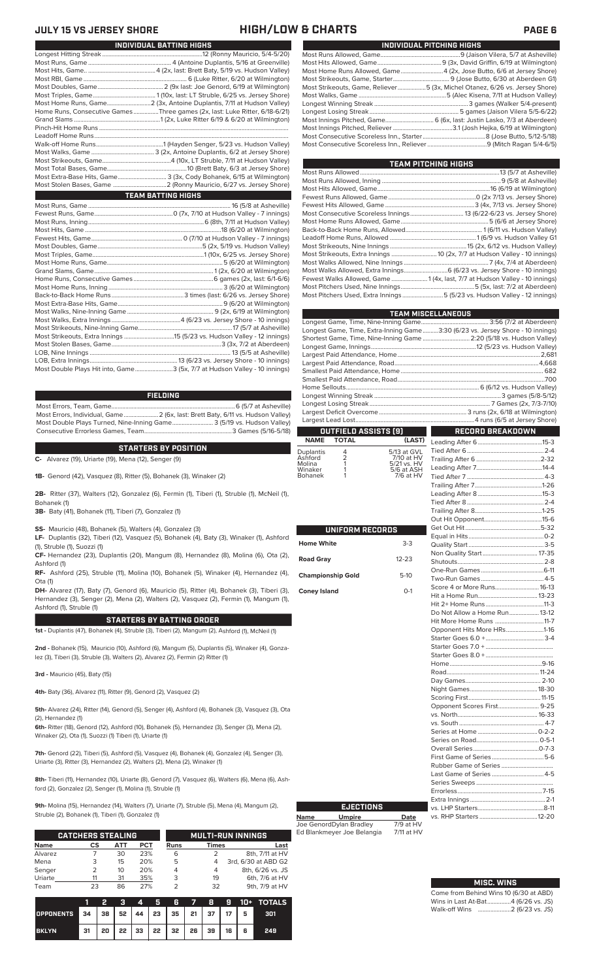# **JULY 15 VS JERSEY SHORE HIGH/LOW & CHARTS PAGE 6**

| Home Runs, Consecutive Games Three games (2x, last: Luke Ritter, 6/18-6/21) |
|-----------------------------------------------------------------------------|
|                                                                             |
|                                                                             |
|                                                                             |
|                                                                             |
|                                                                             |
|                                                                             |
|                                                                             |
| Most Extra-Base Hits, Game 3 (3x, Cody Bohanek, 6/15 at Wilmington)         |
|                                                                             |
| <b>TEAM BATTING HIGHS</b>                                                   |
|                                                                             |
|                                                                             |
|                                                                             |
|                                                                             |
|                                                                             |
|                                                                             |
|                                                                             |
|                                                                             |

**INDIVIDUAL BATTING HIGHS**

| Most Double Plays Hit into, Game3 (5x, 7/7 at Hudson Valley - 10 innings) |  |
|---------------------------------------------------------------------------|--|

### **FIELDING**

Most Errors, Team, Game...............................................................................6 (5/7 at Asheville) .<br>2 (6x, last: Brett Baty, 6/11 vs. Hudson Valley)<br>3 (5/19 vs. Hudson Valley) Most Double Plays Turned, Nine-Inning Game.......................... 3 (5/19 vs. Hudson Valley) Consecutive Errorless Games, Team.

**STARTERS BY POSITION**

**C-** Alvarez (19), Uriarte (19), Mena (12), Senger (9)

**1B-** Genord (42), Vasquez (8), Ritter (5), Bohanek (3), Winaker (2)

**2B-** Ritter (37), Walters (12), Gonzalez (6), Fermin (1), Tiberi (1), Struble (1), McNeil (1), Bohanek (1)

**3B-** Baty (41), Bohanek (11), Tiberi (7), Gonzalez (1)

**SS-** Mauricio (48), Bohanek (5), Walters (4), Gonzalez (3)

**LF-** Duplantis (32), Tiberi (12), Vasquez (5), Bohanek (4), Baty (3), Winaker (1), Ashford (1), Struble (1), Suozzi (1)

**CF-** Hernandez (23), Duplantis (20), Mangum (8), Hernandez (8), Molina (6), Ota (2), Ashford (1)

**RF-** Ashford (25), Struble (11), Molina (10), Bohanek (5), Winaker (4), Hernandez (4), Ota (1)

**DH-** Alvarez (17), Baty (7), Genord (6), Mauricio (5), Ritter (4), Bohanek (3), Tiberi (3), Hernandez (3), Senger (2), Mena (2), Walters (2), Vasquez (2), Fermin (1), Mangum (1), Ashford (1), Struble (1)

### **STARTERS BY BATTING ORDER**

**1st -** Duplantis (47), Bohanek (4), Struble (3), Tiberi (2), Mangum (2), Ashford (1), McNeil (1)

**2nd -** Bohanek (15), Mauricio (10), Ashford (6), Mangum (5), Duplantis (5), Winaker (4), Gonzalez (3), Tiberi (3), Struble (3), Walters (2), Alvarez (2), Fermin (2) Ritter (1)

**3rd -** Mauricio (45), Baty (15)

**4th-** Baty (36), Alvarez (11), Ritter (9), Genord (2), Vasquez (2)

**5th-** Alvarez (24), Ritter (14), Genord (5), Senger (4), Ashford (4), Bohanek (3), Vasquez (3), Ota (2), Hernandez (1)

**6th-** Ritter (18), Genord (12), Ashford (10), Bohanek (5), Hernandez (3), Senger (3), Mena (2), Winaker (2), Ota (1), Suozzi (1) Tiberi (1), Uriarte (1)

**7th-** Genord (22), Tiberi (5), Ashford (5), Vasquez (4), Bohanek (4), Gonzalez (4), Senger (3), Uriarte (3), Ritter (3), Hernandez (2), Walters (2), Mena (2), Winaker (1)

**8th-** Tiberi (11), Hernandez (10), Uriarte (8), Genord (7), Vasquez (6), Walters (6), Mena (6), Ashford (2), Gonzalez (2), Senger (1), Molina (1), Struble (1)

**9th-** Molina (15), Hernandez (14), Walters (7), Uriarte (7), Struble (5), Mena (4), Mangum (2), Struble (2), Bohanek (1), Tiberi (1), Gonzalez (1)

|             | <b>CATCHERS STEALING</b> |     |            |             |              | <b>MULTI-RUN INNINGS</b> |
|-------------|--------------------------|-----|------------|-------------|--------------|--------------------------|
| <b>Name</b> | CS                       | АТТ | <b>PCT</b> | <b>Runs</b> | <b>Times</b> | Last                     |
| Alvarez     |                          | 30  | 23%        | 6           |              | 8th, 7/11 at HV          |
| Mena        | 3                        | 15  | 20%        | 5           | 4            | 3rd, 6/30 at ABD G2      |
| Senger      | フ                        | 10  | 20%        |             | 4            | 8th, 6/26 vs. JS         |
| Uriarte     |                          | 31  | 35%        | 3           | 19           | 6th, 7/6 at HV           |
| Team        | 23                       | 86  | 27%        |             | 32           | 9th, 7/9 at HV           |

|                  |                                                | Ы  |  |                                      |  |  | 3 4 5 6 7 8 9 10 + TOTALS |
|------------------|------------------------------------------------|----|--|--------------------------------------|--|--|---------------------------|
| <b>OPPONENTS</b> | 34   38   52   44   23   35   21   37   17   5 |    |  |                                      |  |  | 301                       |
| <b>BKLYN</b>     | 31                                             | 20 |  | 22   33   22   32   26   39   16   6 |  |  | 249                       |

**Road Gray** 12-23

| INDIVIDUAL PITCHING HIGHS                                                   |
|-----------------------------------------------------------------------------|
|                                                                             |
|                                                                             |
| Most Home Runs Allowed, Game 4 (2x, Jose Butto, 6/6 at Jersey Shore)        |
|                                                                             |
| Most Strikeouts, Game, Reliever5 (3x, Michel Otanez, 6/26 vs. Jersey Shore) |
|                                                                             |
|                                                                             |
|                                                                             |
|                                                                             |
|                                                                             |
|                                                                             |
|                                                                             |

| TEAM PITCHING HIGHS                                                        |  |
|----------------------------------------------------------------------------|--|
|                                                                            |  |
|                                                                            |  |
|                                                                            |  |
|                                                                            |  |
|                                                                            |  |
|                                                                            |  |
|                                                                            |  |
|                                                                            |  |
|                                                                            |  |
|                                                                            |  |
| Most Strikeouts, Extra Innings  10 (2x, 7/7 at Hudson Valley - 10 innings) |  |
|                                                                            |  |
|                                                                            |  |
| Fewest Walks Allowed, Game 1 (4x, last, 7/7 at Hudson Valley - 10 innings) |  |
|                                                                            |  |
| Most Pitchers Used, Extra Innings5 (5/23 vs. Hudson Valley - 12 innings)   |  |
|                                                                            |  |

|                             |                           | <b>TEAM MISCELLANEOUS</b>                                                      |  |
|-----------------------------|---------------------------|--------------------------------------------------------------------------------|--|
|                             |                           |                                                                                |  |
|                             |                           | Longest Game, Time, Extra-Inning Game3:30 (6/23 vs. Jersey Shore - 10 innings) |  |
|                             |                           | Shortest Game, Time, Nine-Inning Game  2:20 (5/18 vs. Hudson Valley)           |  |
|                             |                           |                                                                                |  |
|                             |                           |                                                                                |  |
|                             |                           |                                                                                |  |
|                             |                           |                                                                                |  |
|                             |                           |                                                                                |  |
|                             |                           |                                                                                |  |
|                             |                           |                                                                                |  |
|                             |                           |                                                                                |  |
|                             |                           |                                                                                |  |
| OUTFIELD ASSISTS (9)        |                           | RECORD BREAKDOWN                                                               |  |
| <b>NAME</b><br><b>TOTAL</b> | (LAST)                    |                                                                                |  |
| 4<br>Duplantis              | 5/13 at GVL               |                                                                                |  |
| $\frac{1}{2}$<br>Ashford    | 7/10 at HV                |                                                                                |  |
| Molina<br>Winaker<br>1      | 5/21 vs. HV<br>5/6 at ASH |                                                                                |  |
| 1<br><b>Bohanek</b>         | 7/6 at HV                 |                                                                                |  |
|                             |                           |                                                                                |  |
|                             |                           |                                                                                |  |
|                             |                           |                                                                                |  |
|                             |                           |                                                                                |  |
|                             |                           |                                                                                |  |
| UNIFORM RECORDS             |                           |                                                                                |  |
|                             |                           |                                                                                |  |
| <b>Home White</b>           | 3-3                       |                                                                                |  |
|                             |                           | Non Quality Start 17-35                                                        |  |
| <b>Road Gray</b>            | $12 - 23$                 |                                                                                |  |
| <b>Championship Gold</b>    | $5-10$                    |                                                                                |  |
|                             |                           |                                                                                |  |
| <b>Coney Island</b>         | $O-1$                     | Score 4 or More Runs 16-13                                                     |  |
|                             |                           |                                                                                |  |
|                             |                           |                                                                                |  |
|                             |                           | Do Not Allow a Home Run 13-12<br>Hit More Home Runs 11-7                       |  |
|                             |                           | Opponent Hits More HRs1-16                                                     |  |
|                             |                           |                                                                                |  |
|                             |                           |                                                                                |  |
|                             |                           |                                                                                |  |
|                             |                           |                                                                                |  |
|                             |                           |                                                                                |  |
|                             |                           |                                                                                |  |
|                             |                           |                                                                                |  |
|                             |                           |                                                                                |  |
|                             |                           | Opponent Scores First 9-25                                                     |  |
|                             |                           |                                                                                |  |
|                             |                           |                                                                                |  |
|                             |                           |                                                                                |  |
|                             |                           |                                                                                |  |
|                             |                           |                                                                                |  |
|                             |                           |                                                                                |  |
|                             |                           |                                                                                |  |
|                             |                           | Last Game of Series  4-5                                                       |  |
|                             |                           |                                                                                |  |
|                             |                           |                                                                                |  |
|                             |                           |                                                                                |  |
| <b>EJECTIONS</b>            |                           | vs LHP Starters 8-11                                                           |  |

### **Name Umpire Date** Joe GenordDylan Bradley 7/9 at HV Ed Blankmeyer Joe Belangia 7/11 at HV vs. LHP Starters..........................................8-11 vs. RHP Starters

| <b>MISC. WINS</b>                      |
|----------------------------------------|
| Come from Behind Wins 10 (6/30 at ABD) |
| Wins in Last At-Bat4 (6/26 vs. JS)     |

Walk-off Wins .....................2 (6/23 vs. JS)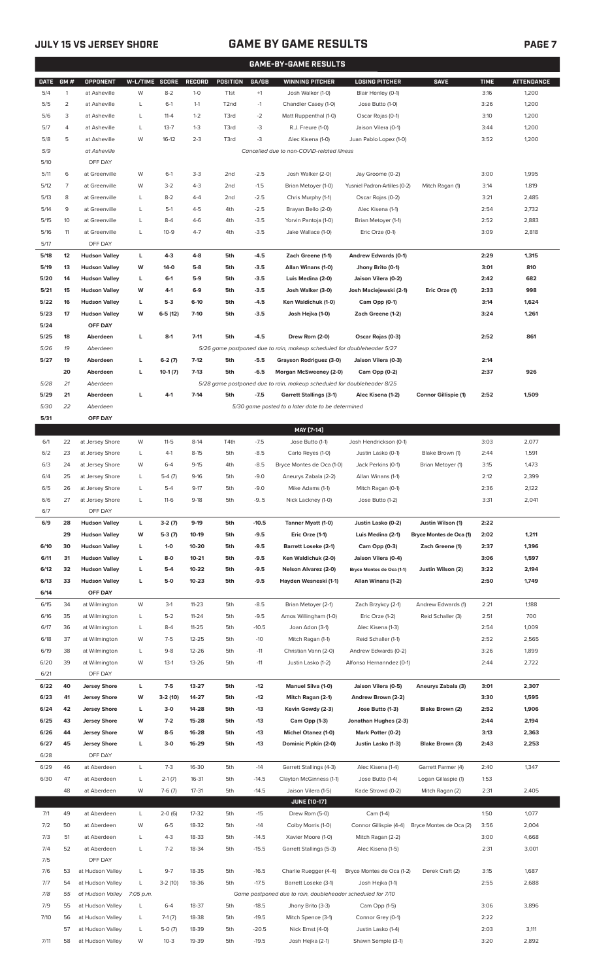# **JULY 15 VS JERSEY SHORE GAME BY GAME RESULTS**

|--|

|              | <b>GAME-BY-GAME RESULTS</b> |                                              |                |                   |                  |                   |                  |                                                                         |                                                  |                         |              |                   |
|--------------|-----------------------------|----------------------------------------------|----------------|-------------------|------------------|-------------------|------------------|-------------------------------------------------------------------------|--------------------------------------------------|-------------------------|--------------|-------------------|
| <b>DATE</b>  | GM#                         | OPPONENT                                     | W-L/TIME SCORE |                   | <b>RECORD</b>    | <b>POSITION</b>   | GA/GB            | <b>WINNING PITCHER</b>                                                  | <b>LOSING PITCHER</b>                            | <b>SAVE</b>             | <b>TIME</b>  | <b>ATTENDANCE</b> |
| 5/4          | $\mathbf{1}$                | at Asheville                                 | W              | $8 - 2$           | $1-0$            | T <sub>1st</sub>  | $+1$             | Josh Walker (1-0)                                                       | Blair Henley (0-1)                               |                         | 3:16         | 1,200             |
| 5/5          | $\overline{2}$              | at Asheville                                 | L              | $6-1$             | $1 - 1$          | T <sub>2</sub> nd | $-1$             | Chandler Casey (1-0)                                                    | Jose Butto (1-0)                                 |                         | 3:26         | 1,200             |
| 5/6          | 3                           | at Asheville                                 | L              | $11 - 4$          | $1 - 2$          | T3rd              | $-2$             | Matt Ruppenthal (1-0)                                                   | Oscar Rojas (0-1)                                |                         | 3:10         | 1,200             |
| 5/7          | 4                           | at Asheville                                 | L              | $13 - 7$          | $1 - 3$          | T3rd              | -3               | R.J. Freure (1-0)                                                       | Jaison Vilera (0-1)                              |                         | 3:44         | 1,200             |
| 5/8          | 5                           | at Asheville                                 | W              | $16-12$           | $2 - 3$          | T3rd              | -3               | Alec Kisena (1-0)                                                       | Juan Pablo Lopez (1-0)                           |                         | 3:52         | 1,200             |
| 5/9          |                             | at Asheville                                 |                |                   |                  |                   |                  | Cancelled due to non-COVID-related illness                              |                                                  |                         |              |                   |
| 5/10         |                             | OFF DAY                                      |                |                   |                  |                   |                  |                                                                         |                                                  |                         |              |                   |
| 5/11         | 6                           | at Greenville                                | W              | $6-1$             | $3 - 3$          | 2 <sub>nd</sub>   | $-2.5$           | Josh Walker (2-0)                                                       | Jay Groome (0-2)                                 |                         | 3:00         | 1,995             |
| 5/12         | 7                           | at Greenville                                | W              | $3-2$             | $4 - 3$          | 2 <sub>nd</sub>   | $-1.5$           | Brian Metoyer (1-0)                                                     | Yusniel Padron-Artilles (0-2)                    | Mitch Ragan (1)         | 3:14         | 1,819             |
| 5/13         | 8                           | at Greenville                                | L              | $8 - 2$           | $4 - 4$          | 2nd               | $-2.5$           | Chris Murphy (1-1)                                                      | Oscar Rojas (0-2)                                |                         | 3:21         | 2,485             |
| 5/14         | 9                           | at Greenville                                | L              | $5-1$             | $4 - 5$          | 4th               | $-2.5$           | Brayan Bello (2-0)                                                      | Alec Kisena (1-1)                                |                         | 2:54         | 2,732             |
| 5/15         | 10                          | at Greenville                                | L              | $8 - 4$           | $4-6$            | 4th               | $-3.5$           | Yorvin Pantoja (1-0)                                                    | Brian Metoyer (1-1)                              |                         | 2:52         | 2,883             |
| 5/16         | 11                          | at Greenville                                | L              | $10 - 9$          | $4 - 7$          | 4th               | $-3.5$           | Jake Wallace (1-0)                                                      | Eric Orze (0-1)                                  |                         | 3:09         | 2,818             |
| 5/17         |                             | OFF DAY                                      |                |                   |                  |                   |                  |                                                                         |                                                  |                         |              |                   |
| 5/18<br>5/19 | 12                          | <b>Hudson Valley</b>                         | L<br>W         | $4-3$<br>$14-0$   | $4 - 8$<br>$5-8$ | 5th               | $-4.5$           | Zach Greene (1-1)                                                       | Andrew Edwards (0-1)                             |                         | 2:29         | 1,315<br>810      |
| 5/20         | 13                          | <b>Hudson Valley</b><br><b>Hudson Valley</b> |                | $6-1$             | $5-9$            | 5th<br>5th        | $-3.5$<br>$-3.5$ | Allan Winans (1-0)<br>Luis Medina (2-0)                                 | Jhony Brito (0-1)<br>Jaison Vilera (0-2)         |                         | 3:01<br>2:42 | 682               |
| 5/21         | 14<br>15                    | <b>Hudson Valley</b>                         | L<br>W         | 4-1               | $6-9$            | 5th               | $-3.5$           | Josh Walker (3-0)                                                       | Josh Maciejewski (2-1)                           | Eric Orze (1)           | 2:33         | 998               |
| 5/22         | 16                          | <b>Hudson Valley</b>                         | L              | $5-3$             | $6-10$           | 5th               | $-4.5$           | Ken Waldichuk (1-0)                                                     | Cam Opp (0-1)                                    |                         | 3:14         | 1,624             |
| 5/23         | 17                          | <b>Hudson Valley</b>                         | W              | $6-5(12)$         | $7-10$           | 5th               | $-3.5$           | Josh Hejka (1-0)                                                        | Zach Greene (1-2)                                |                         | 3:24         | 1,261             |
| 5/24         |                             | OFF DAY                                      |                |                   |                  |                   |                  |                                                                         |                                                  |                         |              |                   |
| 5/25         | 18                          | Aberdeen                                     | L              | $8-1$             | $7 - 11$         | 5th               | $-4.5$           | Drew Rom (2-0)                                                          | Oscar Rojas (0-3)                                |                         | 2:52         | 861               |
| 5/26         | 19                          | Aberdeen                                     |                |                   |                  |                   |                  | 5/26 game postponed due to rain, makeup scheduled for doubleheader 5/27 |                                                  |                         |              |                   |
| 5/27         | 19                          | Aberdeen                                     | г              | $6-2(7)$          | $7-12$           | 5th               | $-5.5$           | Grayson Rodriguez (3-0)                                                 | Jaison Vilera (0-3)                              |                         | 2:14         |                   |
|              | 20                          | Aberdeen                                     | г              | $10-1(7)$         | $7-13$           | 5th               | $-6.5$           | Morgan McSweeney (2-0)                                                  | Cam Opp (0-2)                                    |                         | 2:37         | 926               |
| 5/28         | 21                          | Aberdeen                                     |                |                   |                  |                   |                  | 5/28 game postponed due to rain, makeup scheduled for doubleheader 8/25 |                                                  |                         |              |                   |
| 5/29         | 21                          | Aberdeen                                     | г              | $4-1$             | $7 - 14$         | 5th               | $-7.5$           | <b>Garrett Stallings (3-1)</b>                                          | Alec Kisena (1-2)                                | Connor Gillispie (1)    | 2:52         | 1,509             |
| 5/30         | 22                          | Aberdeen                                     |                |                   |                  |                   |                  | 5/30 game posted to a later date to be determined                       |                                                  |                         |              |                   |
| 5/31         |                             | OFF DAY                                      |                |                   |                  |                   |                  |                                                                         |                                                  |                         |              |                   |
|              |                             |                                              |                |                   |                  |                   |                  | MAY [7-14]                                                              |                                                  |                         |              |                   |
| 6/1          | 22                          | at Jersey Shore                              | W              | $11 - 5$          | $8-14$           | T4th              | $-7.5$           | Jose Butto (1-1)                                                        | Josh Hendrickson (0-1)                           |                         | 3:03         | 2,077             |
| 6/2          | 23                          | at Jersey Shore                              | L              | $4-1$             | $8 - 15$         | 5th               | $-8.5$           | Carlo Reyes (1-0)                                                       | Justin Lasko (0-1)                               | Blake Brown (1)         | 2:44         | 1,591             |
| 6/3          | 24                          | at Jersey Shore                              | W              | $6 - 4$           | $9-15$           | 4th               | $-8.5$           | Bryce Montes de Oca (1-0)                                               | Jack Perkins (0-1)                               | Brian Metoyer (1)       | 3:15         | 1,473             |
| 6/4          | 25                          | at Jersey Shore                              | L              | $5-4(7)$          | $9-16$           | 5th               | $-9.0$           | Aneurys Zabala (2-2)                                                    | Allan Winans (1-1)                               |                         | 2:12         | 2,399             |
| 6/5          | 26                          | at Jersey Shore                              | L              | $5 - 4$           | $9-17$           | 5th               | $-9.0$           | Mike Adams (1-1)                                                        | Mitch Ragan (0-1)                                |                         | 2:36         | 2,122             |
| 6/6          | 27                          | at Jersey Shore                              | L              | $11-6$            | $9-18$           | 5th               | $-9.5$           | Nick Lackney (1-0)                                                      | Jose Butto (1-2)                                 |                         | 3:31         | 2,041             |
| $6/7$        |                             | OFF DAY                                      |                |                   |                  |                   |                  |                                                                         |                                                  |                         |              |                   |
| 6/9          | 28                          | <b>Hudson Valley</b>                         | L              | $3-2(7)$          | $9-19$           | 5th               | $-10.5$          | Tanner Myatt (1-0)                                                      | Justin Lasko (0-2)                               | Justin Wilson (1)       | 2:22         |                   |
|              | 29                          | <b>Hudson Valley</b>                         | W              | $5-3(7)$          | 10-19            | 5th               | $-9.5$           | Eric Orze (1-1)                                                         | Luis Medina (2-1)                                | Bryce Montes de Oca (1) | 2:02         | 1,211             |
| 6/10         | 30                          | <b>Hudson Valley</b>                         | L              | $1-0$             | 10-20            | 5th               | $-9.5$           | <b>Barrett Loseke (2-1)</b>                                             | Cam Opp (0-3)                                    | Zach Greene (1)         | 2:37         | 1,396             |
| 6/11         | 31                          | <b>Hudson Valley</b>                         | L              | $8-0$             | $10 - 21$        | 5th               | -9.5             | Ken Waldichuk (2-0)                                                     | Jaison Vilera (0-4)                              |                         | 3:06         | 1,597             |
| 6/12         | 32                          | <b>Hudson Valley</b>                         | г              | $5-4$             | 10-22            | 5th               | $-9.5$           | Nelson Alvarez (2-0)                                                    | Bryce Montes de Oca (1-1)                        | Justin Wilson (2)       | 3:22         | 2,194             |
| 6/13         | 33                          | <b>Hudson Valley</b>                         | г              | $5-0$             | $10 - 23$        | 5th               | $-9.5$           | Hayden Wesneski (1-1)                                                   | Allan Winans (1-2)                               |                         | 2:50         | 1,749             |
| 6/14         |                             | OFF DAY                                      |                |                   |                  |                   |                  |                                                                         |                                                  |                         |              |                   |
| 6/15         | 34                          | at Wilmington                                | W              | $3-1$             | $11 - 23$        | 5th               | $-8.5$           | Brian Metoyer (2-1)                                                     | Zach Brzykcy (2-1)                               | Andrew Edwards (1)      | 2:21         | 1,188             |
| 6/16         | 35                          | at Wilmington                                | L              | $5 - 2$           | $11 - 24$        | 5th               | $-9.5$           | Amos Willingham (1-0)                                                   | Eric Orze (1-2)                                  | Reid Schaller (3)       | 2:51         | 700               |
| 6/17         | 36                          | at Wilmington                                | L              | $8 - 4$           | $11 - 25$        | 5th               | $-10.5$          | Joan Adon (3-1)                                                         | Alec Kisena (1-3)                                |                         | 2:54         | 1,009             |
| 6/18         | 37                          | at Wilmington                                | W              | $7-5$             | $12 - 25$        | 5th               | $-10$            | Mitch Ragan (1-1)                                                       | Reid Schaller (1-1)                              |                         | 2:52         | 2,565             |
| 6/19<br>6/20 | 38<br>39                    | at Wilmington<br>at Wilmington               | L<br>W         | $9 - 8$<br>$13-1$ | 12-26<br>13-26   | 5th<br>5th        | $-11$<br>$-11$   | Christian Vann (2-0)<br>Justin Lasko (1-2)                              | Andrew Edwards (0-2)<br>Alfonso Hernanndez (0-1) |                         | 3:26<br>2:44 | 1,899<br>2,722    |
| 6/21         |                             | OFF DAY                                      |                |                   |                  |                   |                  |                                                                         |                                                  |                         |              |                   |
| 6/22         | 40                          | <b>Jersey Shore</b>                          | L              | $7-5$             | 13-27            | 5th               | $-12$            | Manuel Silva (1-0)                                                      | Jaison Vilera (0-5)                              | Aneurys Zabala (3)      | 3:01         | 2,307             |
| 6/23         | 41                          | <b>Jersey Shore</b>                          | W              | $3-2(10)$         | 14-27            | 5th               | $-12$            | Mitch Ragan (2-1)                                                       | Andrew Brown (2-2)                               |                         | 3:30         | 1,595             |
| 6/24         | 42                          | <b>Jersey Shore</b>                          | L              | $3-0$             | 14-28            | 5th               | $-13$            | Kevin Gowdy (2-3)                                                       | Jose Butto (1-3)                                 | Blake Brown (2)         | 2:52         | 1,906             |
| 6/25         | 43                          | <b>Jersey Shore</b>                          | W              | $7-2$             | 15-28            | 5th               | $-13$            | Cam Opp (1-3)                                                           | Jonathan Hughes (2-3)                            |                         | 2:44         | 2,194             |
| 6/26         | 44                          | <b>Jersey Shore</b>                          | W              | $8-5$             | 16-28            | 5th               | $-13$            | Michel Otanez (1-0)                                                     | Mark Potter (0-2)                                |                         | 3:13         | 2,363             |
| 6/27         | 45                          | <b>Jersey Shore</b>                          | L              | $3-0$             | 16-29            | 5th               | $-13$            | Dominic Pipkin (2-0)                                                    | Justin Lasko (1-3)                               | Blake Brown (3)         | 2:43         | 2,253             |
| 6/28         |                             | OFF DAY                                      |                |                   |                  |                   |                  |                                                                         |                                                  |                         |              |                   |
| 6/29         | 46                          | at Aberdeen                                  | L              | $7-3$             | 16-30            | 5th               | $-14$            | Garrett Stallings (4-3)                                                 | Alec Kisena (1-4)                                | Garrett Farmer (4)      | 2:40         | 1,347             |
| 6/30         | 47                          | at Aberdeen                                  | L              | $2-1(7)$          | 16-31            | 5th               | $-14.5$          | Clayton McGinness (1-1)                                                 | Jose Butto (1-4)                                 | Logan Gillaspie (1)     | 1:53         |                   |
|              | 48                          | at Aberdeen                                  | W              | $7-6(7)$          | $17 - 31$        | 5th               | $-14.5$          | Jaison Vilera (1-5)                                                     | Kade Strowd (0-2)                                | Mitch Ragan (2)         | 2:31         | 2,405             |
|              |                             |                                              |                |                   |                  |                   |                  | <b>JUNE [10-17]</b>                                                     |                                                  |                         |              |                   |
| 7/1          | 49                          | at Aberdeen                                  | L              | $2-0(6)$          | 17-32            | 5th               | $-15$            | Drew Rom (5-0)                                                          | Cam (1-4)                                        |                         | 1:50         | 1,077             |
| 7/2          | 50                          | at Aberdeen                                  | W              | $6 - 5$           | 18-32            | 5th               | $-14$            | Colby Morris (1-0)                                                      | Connor Gillispie (4-4)                           | Bryce Montes de Oca (2) | 3:56         | 2,004             |
| 7/3          | 51                          | at Aberdeen                                  | L              | $4 - 3$           | 18-33            | 5th               | $-14.5$          | Xavier Moore (1-0)                                                      | Mitch Ragan (2-2)                                |                         | 3:00         | 4,668             |
| 7/4          | 52                          | at Aberdeen                                  | L              | $7 - 2$           | 18-34            | 5th               | $-15.5$          | Garrett Stallings (5-3)                                                 | Alec Kisena (1-5)                                |                         | 2:31         | 3,001             |
| 7/5          |                             | OFF DAY                                      |                |                   |                  |                   |                  |                                                                         |                                                  |                         |              |                   |
| 7/6          | 53                          | at Hudson Valley                             | L              | $9 - 7$           | 18-35            | 5th               | $-16.5$          | Charlie Ruegger (4-4)                                                   | Bryce Montes de Oca (1-2)                        | Derek Craft (2)         | 3:15         | 1,687             |
| 7/7          | 54                          | at Hudson Valley                             | L              | $3-2(10)$         | 18-36            | 5th               | $-17.5$          | Barrett Loseke (3-1)                                                    | Josh Hejka (1-1)                                 |                         | 2:55         | 2,688             |
| 7/8          | 55                          | at Hudson Valley 7:05 p.m.                   |                |                   |                  |                   |                  | Game postponed due to rain, doubleheader scheduled for 7/10             |                                                  |                         |              |                   |
| 7/9          | 55                          | at Hudson Valley                             | L              | $6 - 4$           | 18-37            | 5th               | $-18.5$          | Jhony Brito (3-3)                                                       | Cam Opp (1-5)                                    |                         | 3:06         | 3,896             |
| 7/10         | 56                          | at Hudson Valley                             | L              | $7-1(7)$          | 18-38            | 5th               | $-19.5$          | Mitch Spence (3-1)                                                      | Connor Grey (0-1)                                |                         | 2:22         |                   |
|              | 57                          | at Hudson Valley                             | L              | $5-0(7)$          | 18-39            | 5th               | $-20.5$          | Nick Ernst (4-0)                                                        | Justin Lasko (1-4)                               |                         | 2:03         | 3,111             |
| 7/11         |                             | 58 at Hudson Valley                          | W              | $10-3$            | 19-39            | 5th               | $-19.5$          | Josh Hejka (2-1)                                                        | Shawn Semple (3-1)                               |                         | 3:20         | 2,892             |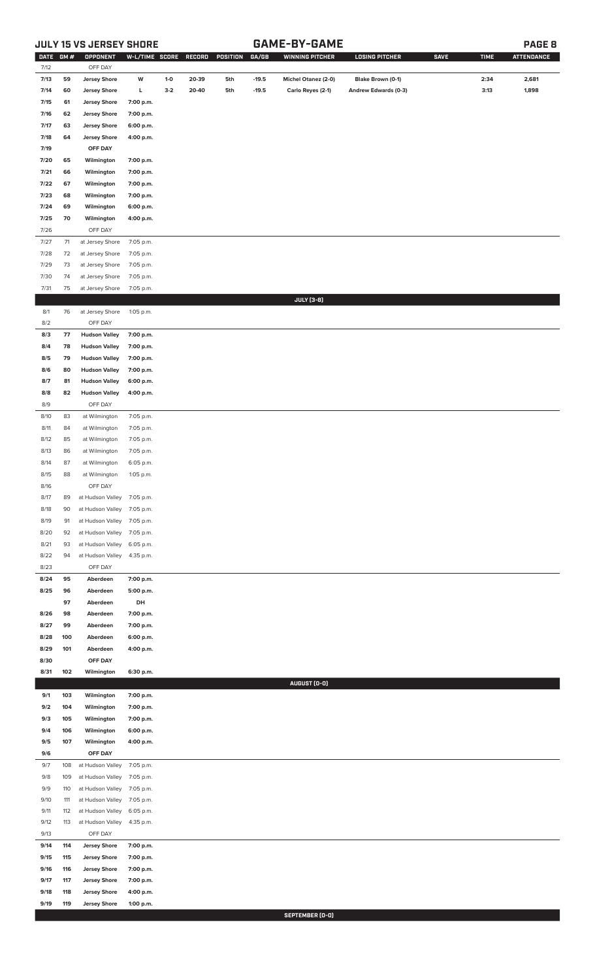# **JULY 15 VS JERSEY SHORE GAME-BY-GAME PAGE 8**

| OFF DAY<br>7/12<br>7/13<br>59<br><b>Jersey Shore</b><br>W<br>$1-0$<br>20-39<br>$-19.5$<br>Michel Otanez (2-0)<br>Blake Brown (0-1)<br>2:34<br>2,681<br>5th<br><b>Jersey Shore</b><br>L<br>$3-2$<br>20-40<br>5th<br>$-19.5$<br>Andrew Edwards (0-3)<br>3:13<br>1,898<br>7/14<br>60<br>Carlo Reyes (2-1)<br><b>Jersey Shore</b><br>7/15<br>61<br>7:00 p.m.<br><b>Jersey Shore</b><br>7:00 p.m.<br>7/16<br>62<br><b>Jersey Shore</b><br>7/17<br>63<br>6:00 p.m.<br><b>Jersey Shore</b><br>7/18<br>64<br>4:00 p.m.<br>7/19<br>OFF DAY<br>7/20<br>65<br>Wilmington<br>7:00 p.m.<br>Wilmington<br>7/21<br>66<br>7:00 p.m.<br>7/22<br>67<br>Wilmington<br>7:00 p.m.<br>7/23<br>68<br>Wilmington<br>7:00 p.m.<br>7/24<br>69<br>Wilmington<br>6:00 p.m.<br>7/25<br>70<br>Wilmington<br>4:00 p.m.<br>7/26<br>OFF DAY<br>7/27<br>71<br>at Jersey Shore<br>7:05 p.m.<br>7/28<br>72<br>at Jersey Shore<br>7:05 p.m.<br>7/29<br>at Jersey Shore<br>7:05 p.m.<br>73<br>7/30<br>at Jersey Shore<br>74<br>7:05 p.m.<br>7/31<br>75<br>at Jersey Shore<br>7:05 p.m.<br><b>JULY</b> [3-8]<br>8/1<br>76<br>at Jersey Shore<br>1:05 p.m.<br>8/2<br>OFF DAY<br>77<br><b>Hudson Valley</b><br>8/3<br>7:00 p.m.<br>8/4<br><b>Hudson Valley</b><br>7:00 p.m.<br>78<br>8/5<br>79<br><b>Hudson Valley</b><br>7:00 p.m.<br>80<br><b>Hudson Valley</b><br>7:00 p.m.<br>8/6<br>8/7<br><b>Hudson Valley</b><br>6:00 p.m.<br>81<br>8/8<br>82<br><b>Hudson Valley</b><br>4:00 p.m.<br>8/9<br>OFF DAY<br>8/10<br>83<br>7:05 p.m.<br>at Wilmington<br>8/11<br>7:05 p.m.<br>84<br>at Wilmington<br>8/12<br>85<br>7:05 p.m.<br>at Wilmington<br>8/13<br>7:05 p.m.<br>86<br>at Wilmington<br>8/14<br>6:05 p.m.<br>87<br>at Wilmington<br>8/15<br>88<br>1:05 p.m.<br>at Wilmington<br>8/16<br>OFF DAY<br>8/17<br>89<br>at Hudson Valley 7:05 p.m.<br>8/18<br>at Hudson Valley 7:05 p.m.<br>90<br>at Hudson Valley 7:05 p.m.<br>8/19<br>91<br>8/20<br>92<br>at Hudson Valley<br>7:05 p.m.<br>8/21<br>93<br>at Hudson Valley<br>6:05 p.m.<br>8/22<br>94<br>at Hudson Valley<br>4:35 p.m.<br>OFF DAY<br>8/23<br>95<br>8/24<br>Aberdeen<br>7:00 p.m.<br>8/25<br>96<br>Aberdeen<br>5:00 p.m.<br>DH<br>97<br>Aberdeen<br>8/26<br>98<br>Aberdeen<br>7:00 p.m.<br>8/27<br>99<br>Aberdeen<br>7:00 p.m.<br>8/28<br>100<br>Aberdeen<br>6:00 p.m.<br>8/29<br>101<br>Aberdeen<br>4:00 p.m.<br>OFF DAY<br>8/30<br>8/31<br>102<br>Wilmington<br>6:30 p.m.<br>AUGUST (0-0)<br>9/1<br>103<br>Wilmington<br>7:00 p.m.<br>9/2<br>104<br>Wilmington<br>7:00 p.m.<br>9/3<br>105<br>Wilmington<br>7:00 p.m.<br>9/4<br>106<br>Wilmington<br>6:00 p.m.<br>9/5<br>107<br>Wilmington<br>4:00 p.m.<br>9/6<br>OFF DAY<br>9/7<br>108<br>at Hudson Valley<br>7:05 p.m.<br>9/8<br>109<br>at Hudson Valley<br>7:05 p.m.<br>9/9<br>110<br>at Hudson Valley<br>7:05 p.m.<br>9/10<br>111<br>at Hudson Valley<br>7:05 p.m.<br>9/11<br>112<br>at Hudson Valley<br>6:05 p.m.<br>9/12<br>113<br>at Hudson Valley<br>4:35 p.m.<br>9/13<br>OFF DAY<br>9/14<br>114<br><b>Jersey Shore</b><br>7:00 p.m.<br>9/15<br><b>Jersey Shore</b><br>7:00 p.m.<br>115<br>9/16<br><b>Jersey Shore</b><br>7:00 p.m.<br>116<br>9/17<br>117<br><b>Jersey Shore</b><br>7:00 p.m.<br>9/18<br>118<br><b>Jersey Shore</b><br>4:00 p.m.<br>9/19<br>119<br><b>Jersey Shore</b><br>1:00 p.m.<br>SEPTEMBER (0-0) | <b>DATE</b> | <b>GM#</b> | OPPONENT | W-L/TIME SCORE | <b>RECORD</b> | POSITION | GA/GB | <b>WINNING PITCHER</b> | <b>LOSING PITCHER</b> | <b>SAVE</b> | <b>TIME</b> | <b>ATTENDANCE</b> |
|--------------------------------------------------------------------------------------------------------------------------------------------------------------------------------------------------------------------------------------------------------------------------------------------------------------------------------------------------------------------------------------------------------------------------------------------------------------------------------------------------------------------------------------------------------------------------------------------------------------------------------------------------------------------------------------------------------------------------------------------------------------------------------------------------------------------------------------------------------------------------------------------------------------------------------------------------------------------------------------------------------------------------------------------------------------------------------------------------------------------------------------------------------------------------------------------------------------------------------------------------------------------------------------------------------------------------------------------------------------------------------------------------------------------------------------------------------------------------------------------------------------------------------------------------------------------------------------------------------------------------------------------------------------------------------------------------------------------------------------------------------------------------------------------------------------------------------------------------------------------------------------------------------------------------------------------------------------------------------------------------------------------------------------------------------------------------------------------------------------------------------------------------------------------------------------------------------------------------------------------------------------------------------------------------------------------------------------------------------------------------------------------------------------------------------------------------------------------------------------------------------------------------------------------------------------------------------------------------------------------------------------------------------------------------------------------------------------------------------------------------------------------------------------------------------------------------------------------------------------------------------------------------------------------------------------------------------------------------------------------------------------------------------------------------------------------------------------------------------------------------------------------------------------------------------------------------------------------------------------------------------------------------------------------------------|-------------|------------|----------|----------------|---------------|----------|-------|------------------------|-----------------------|-------------|-------------|-------------------|
|                                                                                                                                                                                                                                                                                                                                                                                                                                                                                                                                                                                                                                                                                                                                                                                                                                                                                                                                                                                                                                                                                                                                                                                                                                                                                                                                                                                                                                                                                                                                                                                                                                                                                                                                                                                                                                                                                                                                                                                                                                                                                                                                                                                                                                                                                                                                                                                                                                                                                                                                                                                                                                                                                                                                                                                                                                                                                                                                                                                                                                                                                                                                                                                                                                                                                                        |             |            |          |                |               |          |       |                        |                       |             |             |                   |
|                                                                                                                                                                                                                                                                                                                                                                                                                                                                                                                                                                                                                                                                                                                                                                                                                                                                                                                                                                                                                                                                                                                                                                                                                                                                                                                                                                                                                                                                                                                                                                                                                                                                                                                                                                                                                                                                                                                                                                                                                                                                                                                                                                                                                                                                                                                                                                                                                                                                                                                                                                                                                                                                                                                                                                                                                                                                                                                                                                                                                                                                                                                                                                                                                                                                                                        |             |            |          |                |               |          |       |                        |                       |             |             |                   |
|                                                                                                                                                                                                                                                                                                                                                                                                                                                                                                                                                                                                                                                                                                                                                                                                                                                                                                                                                                                                                                                                                                                                                                                                                                                                                                                                                                                                                                                                                                                                                                                                                                                                                                                                                                                                                                                                                                                                                                                                                                                                                                                                                                                                                                                                                                                                                                                                                                                                                                                                                                                                                                                                                                                                                                                                                                                                                                                                                                                                                                                                                                                                                                                                                                                                                                        |             |            |          |                |               |          |       |                        |                       |             |             |                   |
|                                                                                                                                                                                                                                                                                                                                                                                                                                                                                                                                                                                                                                                                                                                                                                                                                                                                                                                                                                                                                                                                                                                                                                                                                                                                                                                                                                                                                                                                                                                                                                                                                                                                                                                                                                                                                                                                                                                                                                                                                                                                                                                                                                                                                                                                                                                                                                                                                                                                                                                                                                                                                                                                                                                                                                                                                                                                                                                                                                                                                                                                                                                                                                                                                                                                                                        |             |            |          |                |               |          |       |                        |                       |             |             |                   |
|                                                                                                                                                                                                                                                                                                                                                                                                                                                                                                                                                                                                                                                                                                                                                                                                                                                                                                                                                                                                                                                                                                                                                                                                                                                                                                                                                                                                                                                                                                                                                                                                                                                                                                                                                                                                                                                                                                                                                                                                                                                                                                                                                                                                                                                                                                                                                                                                                                                                                                                                                                                                                                                                                                                                                                                                                                                                                                                                                                                                                                                                                                                                                                                                                                                                                                        |             |            |          |                |               |          |       |                        |                       |             |             |                   |
|                                                                                                                                                                                                                                                                                                                                                                                                                                                                                                                                                                                                                                                                                                                                                                                                                                                                                                                                                                                                                                                                                                                                                                                                                                                                                                                                                                                                                                                                                                                                                                                                                                                                                                                                                                                                                                                                                                                                                                                                                                                                                                                                                                                                                                                                                                                                                                                                                                                                                                                                                                                                                                                                                                                                                                                                                                                                                                                                                                                                                                                                                                                                                                                                                                                                                                        |             |            |          |                |               |          |       |                        |                       |             |             |                   |
|                                                                                                                                                                                                                                                                                                                                                                                                                                                                                                                                                                                                                                                                                                                                                                                                                                                                                                                                                                                                                                                                                                                                                                                                                                                                                                                                                                                                                                                                                                                                                                                                                                                                                                                                                                                                                                                                                                                                                                                                                                                                                                                                                                                                                                                                                                                                                                                                                                                                                                                                                                                                                                                                                                                                                                                                                                                                                                                                                                                                                                                                                                                                                                                                                                                                                                        |             |            |          |                |               |          |       |                        |                       |             |             |                   |
|                                                                                                                                                                                                                                                                                                                                                                                                                                                                                                                                                                                                                                                                                                                                                                                                                                                                                                                                                                                                                                                                                                                                                                                                                                                                                                                                                                                                                                                                                                                                                                                                                                                                                                                                                                                                                                                                                                                                                                                                                                                                                                                                                                                                                                                                                                                                                                                                                                                                                                                                                                                                                                                                                                                                                                                                                                                                                                                                                                                                                                                                                                                                                                                                                                                                                                        |             |            |          |                |               |          |       |                        |                       |             |             |                   |
|                                                                                                                                                                                                                                                                                                                                                                                                                                                                                                                                                                                                                                                                                                                                                                                                                                                                                                                                                                                                                                                                                                                                                                                                                                                                                                                                                                                                                                                                                                                                                                                                                                                                                                                                                                                                                                                                                                                                                                                                                                                                                                                                                                                                                                                                                                                                                                                                                                                                                                                                                                                                                                                                                                                                                                                                                                                                                                                                                                                                                                                                                                                                                                                                                                                                                                        |             |            |          |                |               |          |       |                        |                       |             |             |                   |
|                                                                                                                                                                                                                                                                                                                                                                                                                                                                                                                                                                                                                                                                                                                                                                                                                                                                                                                                                                                                                                                                                                                                                                                                                                                                                                                                                                                                                                                                                                                                                                                                                                                                                                                                                                                                                                                                                                                                                                                                                                                                                                                                                                                                                                                                                                                                                                                                                                                                                                                                                                                                                                                                                                                                                                                                                                                                                                                                                                                                                                                                                                                                                                                                                                                                                                        |             |            |          |                |               |          |       |                        |                       |             |             |                   |
|                                                                                                                                                                                                                                                                                                                                                                                                                                                                                                                                                                                                                                                                                                                                                                                                                                                                                                                                                                                                                                                                                                                                                                                                                                                                                                                                                                                                                                                                                                                                                                                                                                                                                                                                                                                                                                                                                                                                                                                                                                                                                                                                                                                                                                                                                                                                                                                                                                                                                                                                                                                                                                                                                                                                                                                                                                                                                                                                                                                                                                                                                                                                                                                                                                                                                                        |             |            |          |                |               |          |       |                        |                       |             |             |                   |
|                                                                                                                                                                                                                                                                                                                                                                                                                                                                                                                                                                                                                                                                                                                                                                                                                                                                                                                                                                                                                                                                                                                                                                                                                                                                                                                                                                                                                                                                                                                                                                                                                                                                                                                                                                                                                                                                                                                                                                                                                                                                                                                                                                                                                                                                                                                                                                                                                                                                                                                                                                                                                                                                                                                                                                                                                                                                                                                                                                                                                                                                                                                                                                                                                                                                                                        |             |            |          |                |               |          |       |                        |                       |             |             |                   |
|                                                                                                                                                                                                                                                                                                                                                                                                                                                                                                                                                                                                                                                                                                                                                                                                                                                                                                                                                                                                                                                                                                                                                                                                                                                                                                                                                                                                                                                                                                                                                                                                                                                                                                                                                                                                                                                                                                                                                                                                                                                                                                                                                                                                                                                                                                                                                                                                                                                                                                                                                                                                                                                                                                                                                                                                                                                                                                                                                                                                                                                                                                                                                                                                                                                                                                        |             |            |          |                |               |          |       |                        |                       |             |             |                   |
|                                                                                                                                                                                                                                                                                                                                                                                                                                                                                                                                                                                                                                                                                                                                                                                                                                                                                                                                                                                                                                                                                                                                                                                                                                                                                                                                                                                                                                                                                                                                                                                                                                                                                                                                                                                                                                                                                                                                                                                                                                                                                                                                                                                                                                                                                                                                                                                                                                                                                                                                                                                                                                                                                                                                                                                                                                                                                                                                                                                                                                                                                                                                                                                                                                                                                                        |             |            |          |                |               |          |       |                        |                       |             |             |                   |
|                                                                                                                                                                                                                                                                                                                                                                                                                                                                                                                                                                                                                                                                                                                                                                                                                                                                                                                                                                                                                                                                                                                                                                                                                                                                                                                                                                                                                                                                                                                                                                                                                                                                                                                                                                                                                                                                                                                                                                                                                                                                                                                                                                                                                                                                                                                                                                                                                                                                                                                                                                                                                                                                                                                                                                                                                                                                                                                                                                                                                                                                                                                                                                                                                                                                                                        |             |            |          |                |               |          |       |                        |                       |             |             |                   |
|                                                                                                                                                                                                                                                                                                                                                                                                                                                                                                                                                                                                                                                                                                                                                                                                                                                                                                                                                                                                                                                                                                                                                                                                                                                                                                                                                                                                                                                                                                                                                                                                                                                                                                                                                                                                                                                                                                                                                                                                                                                                                                                                                                                                                                                                                                                                                                                                                                                                                                                                                                                                                                                                                                                                                                                                                                                                                                                                                                                                                                                                                                                                                                                                                                                                                                        |             |            |          |                |               |          |       |                        |                       |             |             |                   |
|                                                                                                                                                                                                                                                                                                                                                                                                                                                                                                                                                                                                                                                                                                                                                                                                                                                                                                                                                                                                                                                                                                                                                                                                                                                                                                                                                                                                                                                                                                                                                                                                                                                                                                                                                                                                                                                                                                                                                                                                                                                                                                                                                                                                                                                                                                                                                                                                                                                                                                                                                                                                                                                                                                                                                                                                                                                                                                                                                                                                                                                                                                                                                                                                                                                                                                        |             |            |          |                |               |          |       |                        |                       |             |             |                   |
|                                                                                                                                                                                                                                                                                                                                                                                                                                                                                                                                                                                                                                                                                                                                                                                                                                                                                                                                                                                                                                                                                                                                                                                                                                                                                                                                                                                                                                                                                                                                                                                                                                                                                                                                                                                                                                                                                                                                                                                                                                                                                                                                                                                                                                                                                                                                                                                                                                                                                                                                                                                                                                                                                                                                                                                                                                                                                                                                                                                                                                                                                                                                                                                                                                                                                                        |             |            |          |                |               |          |       |                        |                       |             |             |                   |
|                                                                                                                                                                                                                                                                                                                                                                                                                                                                                                                                                                                                                                                                                                                                                                                                                                                                                                                                                                                                                                                                                                                                                                                                                                                                                                                                                                                                                                                                                                                                                                                                                                                                                                                                                                                                                                                                                                                                                                                                                                                                                                                                                                                                                                                                                                                                                                                                                                                                                                                                                                                                                                                                                                                                                                                                                                                                                                                                                                                                                                                                                                                                                                                                                                                                                                        |             |            |          |                |               |          |       |                        |                       |             |             |                   |
|                                                                                                                                                                                                                                                                                                                                                                                                                                                                                                                                                                                                                                                                                                                                                                                                                                                                                                                                                                                                                                                                                                                                                                                                                                                                                                                                                                                                                                                                                                                                                                                                                                                                                                                                                                                                                                                                                                                                                                                                                                                                                                                                                                                                                                                                                                                                                                                                                                                                                                                                                                                                                                                                                                                                                                                                                                                                                                                                                                                                                                                                                                                                                                                                                                                                                                        |             |            |          |                |               |          |       |                        |                       |             |             |                   |
|                                                                                                                                                                                                                                                                                                                                                                                                                                                                                                                                                                                                                                                                                                                                                                                                                                                                                                                                                                                                                                                                                                                                                                                                                                                                                                                                                                                                                                                                                                                                                                                                                                                                                                                                                                                                                                                                                                                                                                                                                                                                                                                                                                                                                                                                                                                                                                                                                                                                                                                                                                                                                                                                                                                                                                                                                                                                                                                                                                                                                                                                                                                                                                                                                                                                                                        |             |            |          |                |               |          |       |                        |                       |             |             |                   |
|                                                                                                                                                                                                                                                                                                                                                                                                                                                                                                                                                                                                                                                                                                                                                                                                                                                                                                                                                                                                                                                                                                                                                                                                                                                                                                                                                                                                                                                                                                                                                                                                                                                                                                                                                                                                                                                                                                                                                                                                                                                                                                                                                                                                                                                                                                                                                                                                                                                                                                                                                                                                                                                                                                                                                                                                                                                                                                                                                                                                                                                                                                                                                                                                                                                                                                        |             |            |          |                |               |          |       |                        |                       |             |             |                   |
|                                                                                                                                                                                                                                                                                                                                                                                                                                                                                                                                                                                                                                                                                                                                                                                                                                                                                                                                                                                                                                                                                                                                                                                                                                                                                                                                                                                                                                                                                                                                                                                                                                                                                                                                                                                                                                                                                                                                                                                                                                                                                                                                                                                                                                                                                                                                                                                                                                                                                                                                                                                                                                                                                                                                                                                                                                                                                                                                                                                                                                                                                                                                                                                                                                                                                                        |             |            |          |                |               |          |       |                        |                       |             |             |                   |
|                                                                                                                                                                                                                                                                                                                                                                                                                                                                                                                                                                                                                                                                                                                                                                                                                                                                                                                                                                                                                                                                                                                                                                                                                                                                                                                                                                                                                                                                                                                                                                                                                                                                                                                                                                                                                                                                                                                                                                                                                                                                                                                                                                                                                                                                                                                                                                                                                                                                                                                                                                                                                                                                                                                                                                                                                                                                                                                                                                                                                                                                                                                                                                                                                                                                                                        |             |            |          |                |               |          |       |                        |                       |             |             |                   |
|                                                                                                                                                                                                                                                                                                                                                                                                                                                                                                                                                                                                                                                                                                                                                                                                                                                                                                                                                                                                                                                                                                                                                                                                                                                                                                                                                                                                                                                                                                                                                                                                                                                                                                                                                                                                                                                                                                                                                                                                                                                                                                                                                                                                                                                                                                                                                                                                                                                                                                                                                                                                                                                                                                                                                                                                                                                                                                                                                                                                                                                                                                                                                                                                                                                                                                        |             |            |          |                |               |          |       |                        |                       |             |             |                   |
|                                                                                                                                                                                                                                                                                                                                                                                                                                                                                                                                                                                                                                                                                                                                                                                                                                                                                                                                                                                                                                                                                                                                                                                                                                                                                                                                                                                                                                                                                                                                                                                                                                                                                                                                                                                                                                                                                                                                                                                                                                                                                                                                                                                                                                                                                                                                                                                                                                                                                                                                                                                                                                                                                                                                                                                                                                                                                                                                                                                                                                                                                                                                                                                                                                                                                                        |             |            |          |                |               |          |       |                        |                       |             |             |                   |
|                                                                                                                                                                                                                                                                                                                                                                                                                                                                                                                                                                                                                                                                                                                                                                                                                                                                                                                                                                                                                                                                                                                                                                                                                                                                                                                                                                                                                                                                                                                                                                                                                                                                                                                                                                                                                                                                                                                                                                                                                                                                                                                                                                                                                                                                                                                                                                                                                                                                                                                                                                                                                                                                                                                                                                                                                                                                                                                                                                                                                                                                                                                                                                                                                                                                                                        |             |            |          |                |               |          |       |                        |                       |             |             |                   |
|                                                                                                                                                                                                                                                                                                                                                                                                                                                                                                                                                                                                                                                                                                                                                                                                                                                                                                                                                                                                                                                                                                                                                                                                                                                                                                                                                                                                                                                                                                                                                                                                                                                                                                                                                                                                                                                                                                                                                                                                                                                                                                                                                                                                                                                                                                                                                                                                                                                                                                                                                                                                                                                                                                                                                                                                                                                                                                                                                                                                                                                                                                                                                                                                                                                                                                        |             |            |          |                |               |          |       |                        |                       |             |             |                   |
|                                                                                                                                                                                                                                                                                                                                                                                                                                                                                                                                                                                                                                                                                                                                                                                                                                                                                                                                                                                                                                                                                                                                                                                                                                                                                                                                                                                                                                                                                                                                                                                                                                                                                                                                                                                                                                                                                                                                                                                                                                                                                                                                                                                                                                                                                                                                                                                                                                                                                                                                                                                                                                                                                                                                                                                                                                                                                                                                                                                                                                                                                                                                                                                                                                                                                                        |             |            |          |                |               |          |       |                        |                       |             |             |                   |
|                                                                                                                                                                                                                                                                                                                                                                                                                                                                                                                                                                                                                                                                                                                                                                                                                                                                                                                                                                                                                                                                                                                                                                                                                                                                                                                                                                                                                                                                                                                                                                                                                                                                                                                                                                                                                                                                                                                                                                                                                                                                                                                                                                                                                                                                                                                                                                                                                                                                                                                                                                                                                                                                                                                                                                                                                                                                                                                                                                                                                                                                                                                                                                                                                                                                                                        |             |            |          |                |               |          |       |                        |                       |             |             |                   |
|                                                                                                                                                                                                                                                                                                                                                                                                                                                                                                                                                                                                                                                                                                                                                                                                                                                                                                                                                                                                                                                                                                                                                                                                                                                                                                                                                                                                                                                                                                                                                                                                                                                                                                                                                                                                                                                                                                                                                                                                                                                                                                                                                                                                                                                                                                                                                                                                                                                                                                                                                                                                                                                                                                                                                                                                                                                                                                                                                                                                                                                                                                                                                                                                                                                                                                        |             |            |          |                |               |          |       |                        |                       |             |             |                   |
|                                                                                                                                                                                                                                                                                                                                                                                                                                                                                                                                                                                                                                                                                                                                                                                                                                                                                                                                                                                                                                                                                                                                                                                                                                                                                                                                                                                                                                                                                                                                                                                                                                                                                                                                                                                                                                                                                                                                                                                                                                                                                                                                                                                                                                                                                                                                                                                                                                                                                                                                                                                                                                                                                                                                                                                                                                                                                                                                                                                                                                                                                                                                                                                                                                                                                                        |             |            |          |                |               |          |       |                        |                       |             |             |                   |
|                                                                                                                                                                                                                                                                                                                                                                                                                                                                                                                                                                                                                                                                                                                                                                                                                                                                                                                                                                                                                                                                                                                                                                                                                                                                                                                                                                                                                                                                                                                                                                                                                                                                                                                                                                                                                                                                                                                                                                                                                                                                                                                                                                                                                                                                                                                                                                                                                                                                                                                                                                                                                                                                                                                                                                                                                                                                                                                                                                                                                                                                                                                                                                                                                                                                                                        |             |            |          |                |               |          |       |                        |                       |             |             |                   |
|                                                                                                                                                                                                                                                                                                                                                                                                                                                                                                                                                                                                                                                                                                                                                                                                                                                                                                                                                                                                                                                                                                                                                                                                                                                                                                                                                                                                                                                                                                                                                                                                                                                                                                                                                                                                                                                                                                                                                                                                                                                                                                                                                                                                                                                                                                                                                                                                                                                                                                                                                                                                                                                                                                                                                                                                                                                                                                                                                                                                                                                                                                                                                                                                                                                                                                        |             |            |          |                |               |          |       |                        |                       |             |             |                   |
|                                                                                                                                                                                                                                                                                                                                                                                                                                                                                                                                                                                                                                                                                                                                                                                                                                                                                                                                                                                                                                                                                                                                                                                                                                                                                                                                                                                                                                                                                                                                                                                                                                                                                                                                                                                                                                                                                                                                                                                                                                                                                                                                                                                                                                                                                                                                                                                                                                                                                                                                                                                                                                                                                                                                                                                                                                                                                                                                                                                                                                                                                                                                                                                                                                                                                                        |             |            |          |                |               |          |       |                        |                       |             |             |                   |
|                                                                                                                                                                                                                                                                                                                                                                                                                                                                                                                                                                                                                                                                                                                                                                                                                                                                                                                                                                                                                                                                                                                                                                                                                                                                                                                                                                                                                                                                                                                                                                                                                                                                                                                                                                                                                                                                                                                                                                                                                                                                                                                                                                                                                                                                                                                                                                                                                                                                                                                                                                                                                                                                                                                                                                                                                                                                                                                                                                                                                                                                                                                                                                                                                                                                                                        |             |            |          |                |               |          |       |                        |                       |             |             |                   |
|                                                                                                                                                                                                                                                                                                                                                                                                                                                                                                                                                                                                                                                                                                                                                                                                                                                                                                                                                                                                                                                                                                                                                                                                                                                                                                                                                                                                                                                                                                                                                                                                                                                                                                                                                                                                                                                                                                                                                                                                                                                                                                                                                                                                                                                                                                                                                                                                                                                                                                                                                                                                                                                                                                                                                                                                                                                                                                                                                                                                                                                                                                                                                                                                                                                                                                        |             |            |          |                |               |          |       |                        |                       |             |             |                   |
|                                                                                                                                                                                                                                                                                                                                                                                                                                                                                                                                                                                                                                                                                                                                                                                                                                                                                                                                                                                                                                                                                                                                                                                                                                                                                                                                                                                                                                                                                                                                                                                                                                                                                                                                                                                                                                                                                                                                                                                                                                                                                                                                                                                                                                                                                                                                                                                                                                                                                                                                                                                                                                                                                                                                                                                                                                                                                                                                                                                                                                                                                                                                                                                                                                                                                                        |             |            |          |                |               |          |       |                        |                       |             |             |                   |
|                                                                                                                                                                                                                                                                                                                                                                                                                                                                                                                                                                                                                                                                                                                                                                                                                                                                                                                                                                                                                                                                                                                                                                                                                                                                                                                                                                                                                                                                                                                                                                                                                                                                                                                                                                                                                                                                                                                                                                                                                                                                                                                                                                                                                                                                                                                                                                                                                                                                                                                                                                                                                                                                                                                                                                                                                                                                                                                                                                                                                                                                                                                                                                                                                                                                                                        |             |            |          |                |               |          |       |                        |                       |             |             |                   |
|                                                                                                                                                                                                                                                                                                                                                                                                                                                                                                                                                                                                                                                                                                                                                                                                                                                                                                                                                                                                                                                                                                                                                                                                                                                                                                                                                                                                                                                                                                                                                                                                                                                                                                                                                                                                                                                                                                                                                                                                                                                                                                                                                                                                                                                                                                                                                                                                                                                                                                                                                                                                                                                                                                                                                                                                                                                                                                                                                                                                                                                                                                                                                                                                                                                                                                        |             |            |          |                |               |          |       |                        |                       |             |             |                   |
|                                                                                                                                                                                                                                                                                                                                                                                                                                                                                                                                                                                                                                                                                                                                                                                                                                                                                                                                                                                                                                                                                                                                                                                                                                                                                                                                                                                                                                                                                                                                                                                                                                                                                                                                                                                                                                                                                                                                                                                                                                                                                                                                                                                                                                                                                                                                                                                                                                                                                                                                                                                                                                                                                                                                                                                                                                                                                                                                                                                                                                                                                                                                                                                                                                                                                                        |             |            |          |                |               |          |       |                        |                       |             |             |                   |
|                                                                                                                                                                                                                                                                                                                                                                                                                                                                                                                                                                                                                                                                                                                                                                                                                                                                                                                                                                                                                                                                                                                                                                                                                                                                                                                                                                                                                                                                                                                                                                                                                                                                                                                                                                                                                                                                                                                                                                                                                                                                                                                                                                                                                                                                                                                                                                                                                                                                                                                                                                                                                                                                                                                                                                                                                                                                                                                                                                                                                                                                                                                                                                                                                                                                                                        |             |            |          |                |               |          |       |                        |                       |             |             |                   |
|                                                                                                                                                                                                                                                                                                                                                                                                                                                                                                                                                                                                                                                                                                                                                                                                                                                                                                                                                                                                                                                                                                                                                                                                                                                                                                                                                                                                                                                                                                                                                                                                                                                                                                                                                                                                                                                                                                                                                                                                                                                                                                                                                                                                                                                                                                                                                                                                                                                                                                                                                                                                                                                                                                                                                                                                                                                                                                                                                                                                                                                                                                                                                                                                                                                                                                        |             |            |          |                |               |          |       |                        |                       |             |             |                   |
|                                                                                                                                                                                                                                                                                                                                                                                                                                                                                                                                                                                                                                                                                                                                                                                                                                                                                                                                                                                                                                                                                                                                                                                                                                                                                                                                                                                                                                                                                                                                                                                                                                                                                                                                                                                                                                                                                                                                                                                                                                                                                                                                                                                                                                                                                                                                                                                                                                                                                                                                                                                                                                                                                                                                                                                                                                                                                                                                                                                                                                                                                                                                                                                                                                                                                                        |             |            |          |                |               |          |       |                        |                       |             |             |                   |
|                                                                                                                                                                                                                                                                                                                                                                                                                                                                                                                                                                                                                                                                                                                                                                                                                                                                                                                                                                                                                                                                                                                                                                                                                                                                                                                                                                                                                                                                                                                                                                                                                                                                                                                                                                                                                                                                                                                                                                                                                                                                                                                                                                                                                                                                                                                                                                                                                                                                                                                                                                                                                                                                                                                                                                                                                                                                                                                                                                                                                                                                                                                                                                                                                                                                                                        |             |            |          |                |               |          |       |                        |                       |             |             |                   |
|                                                                                                                                                                                                                                                                                                                                                                                                                                                                                                                                                                                                                                                                                                                                                                                                                                                                                                                                                                                                                                                                                                                                                                                                                                                                                                                                                                                                                                                                                                                                                                                                                                                                                                                                                                                                                                                                                                                                                                                                                                                                                                                                                                                                                                                                                                                                                                                                                                                                                                                                                                                                                                                                                                                                                                                                                                                                                                                                                                                                                                                                                                                                                                                                                                                                                                        |             |            |          |                |               |          |       |                        |                       |             |             |                   |
|                                                                                                                                                                                                                                                                                                                                                                                                                                                                                                                                                                                                                                                                                                                                                                                                                                                                                                                                                                                                                                                                                                                                                                                                                                                                                                                                                                                                                                                                                                                                                                                                                                                                                                                                                                                                                                                                                                                                                                                                                                                                                                                                                                                                                                                                                                                                                                                                                                                                                                                                                                                                                                                                                                                                                                                                                                                                                                                                                                                                                                                                                                                                                                                                                                                                                                        |             |            |          |                |               |          |       |                        |                       |             |             |                   |
|                                                                                                                                                                                                                                                                                                                                                                                                                                                                                                                                                                                                                                                                                                                                                                                                                                                                                                                                                                                                                                                                                                                                                                                                                                                                                                                                                                                                                                                                                                                                                                                                                                                                                                                                                                                                                                                                                                                                                                                                                                                                                                                                                                                                                                                                                                                                                                                                                                                                                                                                                                                                                                                                                                                                                                                                                                                                                                                                                                                                                                                                                                                                                                                                                                                                                                        |             |            |          |                |               |          |       |                        |                       |             |             |                   |
|                                                                                                                                                                                                                                                                                                                                                                                                                                                                                                                                                                                                                                                                                                                                                                                                                                                                                                                                                                                                                                                                                                                                                                                                                                                                                                                                                                                                                                                                                                                                                                                                                                                                                                                                                                                                                                                                                                                                                                                                                                                                                                                                                                                                                                                                                                                                                                                                                                                                                                                                                                                                                                                                                                                                                                                                                                                                                                                                                                                                                                                                                                                                                                                                                                                                                                        |             |            |          |                |               |          |       |                        |                       |             |             |                   |
|                                                                                                                                                                                                                                                                                                                                                                                                                                                                                                                                                                                                                                                                                                                                                                                                                                                                                                                                                                                                                                                                                                                                                                                                                                                                                                                                                                                                                                                                                                                                                                                                                                                                                                                                                                                                                                                                                                                                                                                                                                                                                                                                                                                                                                                                                                                                                                                                                                                                                                                                                                                                                                                                                                                                                                                                                                                                                                                                                                                                                                                                                                                                                                                                                                                                                                        |             |            |          |                |               |          |       |                        |                       |             |             |                   |
|                                                                                                                                                                                                                                                                                                                                                                                                                                                                                                                                                                                                                                                                                                                                                                                                                                                                                                                                                                                                                                                                                                                                                                                                                                                                                                                                                                                                                                                                                                                                                                                                                                                                                                                                                                                                                                                                                                                                                                                                                                                                                                                                                                                                                                                                                                                                                                                                                                                                                                                                                                                                                                                                                                                                                                                                                                                                                                                                                                                                                                                                                                                                                                                                                                                                                                        |             |            |          |                |               |          |       |                        |                       |             |             |                   |
|                                                                                                                                                                                                                                                                                                                                                                                                                                                                                                                                                                                                                                                                                                                                                                                                                                                                                                                                                                                                                                                                                                                                                                                                                                                                                                                                                                                                                                                                                                                                                                                                                                                                                                                                                                                                                                                                                                                                                                                                                                                                                                                                                                                                                                                                                                                                                                                                                                                                                                                                                                                                                                                                                                                                                                                                                                                                                                                                                                                                                                                                                                                                                                                                                                                                                                        |             |            |          |                |               |          |       |                        |                       |             |             |                   |
|                                                                                                                                                                                                                                                                                                                                                                                                                                                                                                                                                                                                                                                                                                                                                                                                                                                                                                                                                                                                                                                                                                                                                                                                                                                                                                                                                                                                                                                                                                                                                                                                                                                                                                                                                                                                                                                                                                                                                                                                                                                                                                                                                                                                                                                                                                                                                                                                                                                                                                                                                                                                                                                                                                                                                                                                                                                                                                                                                                                                                                                                                                                                                                                                                                                                                                        |             |            |          |                |               |          |       |                        |                       |             |             |                   |
|                                                                                                                                                                                                                                                                                                                                                                                                                                                                                                                                                                                                                                                                                                                                                                                                                                                                                                                                                                                                                                                                                                                                                                                                                                                                                                                                                                                                                                                                                                                                                                                                                                                                                                                                                                                                                                                                                                                                                                                                                                                                                                                                                                                                                                                                                                                                                                                                                                                                                                                                                                                                                                                                                                                                                                                                                                                                                                                                                                                                                                                                                                                                                                                                                                                                                                        |             |            |          |                |               |          |       |                        |                       |             |             |                   |
|                                                                                                                                                                                                                                                                                                                                                                                                                                                                                                                                                                                                                                                                                                                                                                                                                                                                                                                                                                                                                                                                                                                                                                                                                                                                                                                                                                                                                                                                                                                                                                                                                                                                                                                                                                                                                                                                                                                                                                                                                                                                                                                                                                                                                                                                                                                                                                                                                                                                                                                                                                                                                                                                                                                                                                                                                                                                                                                                                                                                                                                                                                                                                                                                                                                                                                        |             |            |          |                |               |          |       |                        |                       |             |             |                   |
|                                                                                                                                                                                                                                                                                                                                                                                                                                                                                                                                                                                                                                                                                                                                                                                                                                                                                                                                                                                                                                                                                                                                                                                                                                                                                                                                                                                                                                                                                                                                                                                                                                                                                                                                                                                                                                                                                                                                                                                                                                                                                                                                                                                                                                                                                                                                                                                                                                                                                                                                                                                                                                                                                                                                                                                                                                                                                                                                                                                                                                                                                                                                                                                                                                                                                                        |             |            |          |                |               |          |       |                        |                       |             |             |                   |
|                                                                                                                                                                                                                                                                                                                                                                                                                                                                                                                                                                                                                                                                                                                                                                                                                                                                                                                                                                                                                                                                                                                                                                                                                                                                                                                                                                                                                                                                                                                                                                                                                                                                                                                                                                                                                                                                                                                                                                                                                                                                                                                                                                                                                                                                                                                                                                                                                                                                                                                                                                                                                                                                                                                                                                                                                                                                                                                                                                                                                                                                                                                                                                                                                                                                                                        |             |            |          |                |               |          |       |                        |                       |             |             |                   |
|                                                                                                                                                                                                                                                                                                                                                                                                                                                                                                                                                                                                                                                                                                                                                                                                                                                                                                                                                                                                                                                                                                                                                                                                                                                                                                                                                                                                                                                                                                                                                                                                                                                                                                                                                                                                                                                                                                                                                                                                                                                                                                                                                                                                                                                                                                                                                                                                                                                                                                                                                                                                                                                                                                                                                                                                                                                                                                                                                                                                                                                                                                                                                                                                                                                                                                        |             |            |          |                |               |          |       |                        |                       |             |             |                   |
|                                                                                                                                                                                                                                                                                                                                                                                                                                                                                                                                                                                                                                                                                                                                                                                                                                                                                                                                                                                                                                                                                                                                                                                                                                                                                                                                                                                                                                                                                                                                                                                                                                                                                                                                                                                                                                                                                                                                                                                                                                                                                                                                                                                                                                                                                                                                                                                                                                                                                                                                                                                                                                                                                                                                                                                                                                                                                                                                                                                                                                                                                                                                                                                                                                                                                                        |             |            |          |                |               |          |       |                        |                       |             |             |                   |
|                                                                                                                                                                                                                                                                                                                                                                                                                                                                                                                                                                                                                                                                                                                                                                                                                                                                                                                                                                                                                                                                                                                                                                                                                                                                                                                                                                                                                                                                                                                                                                                                                                                                                                                                                                                                                                                                                                                                                                                                                                                                                                                                                                                                                                                                                                                                                                                                                                                                                                                                                                                                                                                                                                                                                                                                                                                                                                                                                                                                                                                                                                                                                                                                                                                                                                        |             |            |          |                |               |          |       |                        |                       |             |             |                   |
|                                                                                                                                                                                                                                                                                                                                                                                                                                                                                                                                                                                                                                                                                                                                                                                                                                                                                                                                                                                                                                                                                                                                                                                                                                                                                                                                                                                                                                                                                                                                                                                                                                                                                                                                                                                                                                                                                                                                                                                                                                                                                                                                                                                                                                                                                                                                                                                                                                                                                                                                                                                                                                                                                                                                                                                                                                                                                                                                                                                                                                                                                                                                                                                                                                                                                                        |             |            |          |                |               |          |       |                        |                       |             |             |                   |
|                                                                                                                                                                                                                                                                                                                                                                                                                                                                                                                                                                                                                                                                                                                                                                                                                                                                                                                                                                                                                                                                                                                                                                                                                                                                                                                                                                                                                                                                                                                                                                                                                                                                                                                                                                                                                                                                                                                                                                                                                                                                                                                                                                                                                                                                                                                                                                                                                                                                                                                                                                                                                                                                                                                                                                                                                                                                                                                                                                                                                                                                                                                                                                                                                                                                                                        |             |            |          |                |               |          |       |                        |                       |             |             |                   |
|                                                                                                                                                                                                                                                                                                                                                                                                                                                                                                                                                                                                                                                                                                                                                                                                                                                                                                                                                                                                                                                                                                                                                                                                                                                                                                                                                                                                                                                                                                                                                                                                                                                                                                                                                                                                                                                                                                                                                                                                                                                                                                                                                                                                                                                                                                                                                                                                                                                                                                                                                                                                                                                                                                                                                                                                                                                                                                                                                                                                                                                                                                                                                                                                                                                                                                        |             |            |          |                |               |          |       |                        |                       |             |             |                   |
|                                                                                                                                                                                                                                                                                                                                                                                                                                                                                                                                                                                                                                                                                                                                                                                                                                                                                                                                                                                                                                                                                                                                                                                                                                                                                                                                                                                                                                                                                                                                                                                                                                                                                                                                                                                                                                                                                                                                                                                                                                                                                                                                                                                                                                                                                                                                                                                                                                                                                                                                                                                                                                                                                                                                                                                                                                                                                                                                                                                                                                                                                                                                                                                                                                                                                                        |             |            |          |                |               |          |       |                        |                       |             |             |                   |
|                                                                                                                                                                                                                                                                                                                                                                                                                                                                                                                                                                                                                                                                                                                                                                                                                                                                                                                                                                                                                                                                                                                                                                                                                                                                                                                                                                                                                                                                                                                                                                                                                                                                                                                                                                                                                                                                                                                                                                                                                                                                                                                                                                                                                                                                                                                                                                                                                                                                                                                                                                                                                                                                                                                                                                                                                                                                                                                                                                                                                                                                                                                                                                                                                                                                                                        |             |            |          |                |               |          |       |                        |                       |             |             |                   |
|                                                                                                                                                                                                                                                                                                                                                                                                                                                                                                                                                                                                                                                                                                                                                                                                                                                                                                                                                                                                                                                                                                                                                                                                                                                                                                                                                                                                                                                                                                                                                                                                                                                                                                                                                                                                                                                                                                                                                                                                                                                                                                                                                                                                                                                                                                                                                                                                                                                                                                                                                                                                                                                                                                                                                                                                                                                                                                                                                                                                                                                                                                                                                                                                                                                                                                        |             |            |          |                |               |          |       |                        |                       |             |             |                   |
|                                                                                                                                                                                                                                                                                                                                                                                                                                                                                                                                                                                                                                                                                                                                                                                                                                                                                                                                                                                                                                                                                                                                                                                                                                                                                                                                                                                                                                                                                                                                                                                                                                                                                                                                                                                                                                                                                                                                                                                                                                                                                                                                                                                                                                                                                                                                                                                                                                                                                                                                                                                                                                                                                                                                                                                                                                                                                                                                                                                                                                                                                                                                                                                                                                                                                                        |             |            |          |                |               |          |       |                        |                       |             |             |                   |